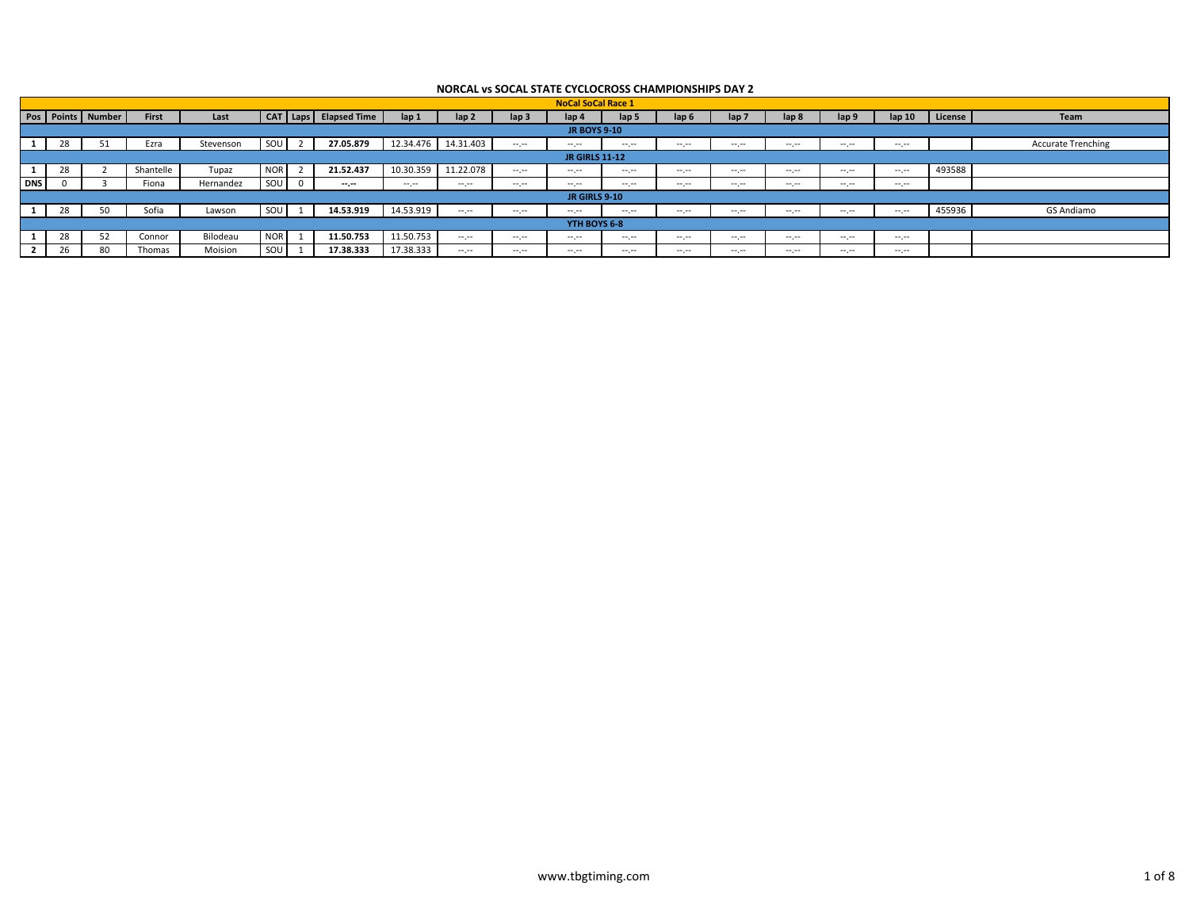|            |    |                       |              |           |            |   |                     |           |                  |                  | <b>NoCal SoCal Race 1</b> |                |                |                  |                  |                     |                   |         |                           |
|------------|----|-----------------------|--------------|-----------|------------|---|---------------------|-----------|------------------|------------------|---------------------------|----------------|----------------|------------------|------------------|---------------------|-------------------|---------|---------------------------|
|            |    | Pos   Points   Number | <b>First</b> | Last      | CAT        |   | Laps   Elapsed Time | lap 1     | lap <sub>2</sub> | lap <sub>3</sub> | lap 4                     | lap 5          | lap 6          | lap <sub>7</sub> | lap <sub>8</sub> | lap 9               | lap <sub>10</sub> | License | Team                      |
|            |    |                       |              |           |            |   |                     |           |                  |                  | <b>JR BOYS 9-10</b>       |                |                |                  |                  |                     |                   |         |                           |
|            | zx |                       | Ezra         | Stevenson | SOL        |   | 27.05.879           | 12.34.476 | 14.31.403        | $-1$             | and the contract          | $\cdots$       | and the second | -----            | and the second   | . <u>.</u>          | -----             |         | <b>Accurate Trenching</b> |
|            |    |                       |              |           |            |   |                     |           |                  |                  | <b>JR GIRLS 11-12</b>     |                |                |                  |                  |                     |                   |         |                           |
|            | zõ |                       | Shantelle    | Tupaz     | <b>NOR</b> |   | 21.52.437           | 10.30.359 | 11.22.078        | المعرجة          | المسترمس                  | $\cdots$       | المعرضة        | $\cdots$         | المعرمة          | $-1$                | المعرجة ال        | 493588  |                           |
| <b>DNS</b> |    |                       | Fiona        | Hernandez | SOL        | 0 | $-1$                | المعرضة   | المعرجين         | المعرمت          | $-1$                      | $\cdots$       | المعرمت        | $-1.1$           | $-1.1$           | المعرضة             | المعرمة           |         |                           |
|            |    |                       |              |           |            |   |                     |           |                  |                  | <b>JR GIRLS 9-10</b>      |                |                |                  |                  |                     |                   |         |                           |
|            |    |                       | Sofia        | Lawson    | SOL        |   | 14.53.919           | 14.53.919 | $- - - -$        |                  | $-1$                      | $\cdots$       | and the second | $-1$             | $-1$             | $-1$                | $-1$              | 455936  | GS Andiamo                |
|            |    |                       |              |           |            |   |                     |           |                  |                  | YTH BOYS 6-8              |                |                |                  |                  |                     |                   |         |                           |
|            |    |                       | Connor       | Bilodeau  | <b>NOR</b> |   | 11.50.753           | 11.50.753 | $- - - -$        | المعرجين         | and the contract of       | $\cdots$<br>-- | ----<br>- -    | . <u>.</u>       | and the second   | and the contract of | -----             |         |                           |
|            |    | 80                    | Thomas       | Moision   | SOL        |   | 17.38.333           | 17.38.333 | المحرمت          | المعرجة ا        | and your                  | $\cdots$       | المعرضة        | and the season   | المعرمة          | and the contract of | -----             |         |                           |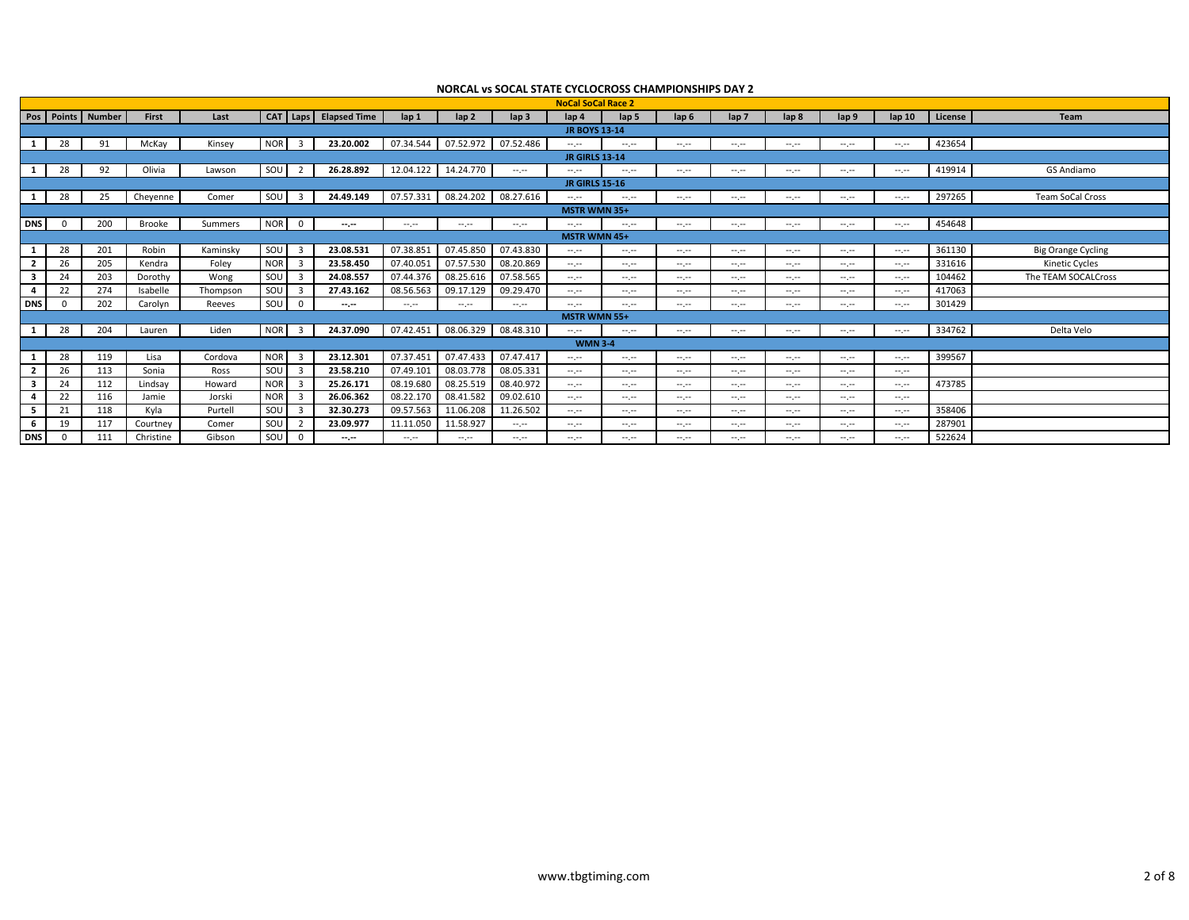|            |          |                   |              |          |            |                         |                       |              |                                 |                                                                                                                           | <b>NoCal SoCal Race 2</b>                                                                      |                                                                                                                                                                                                                                                                                                                                                                                                                                                |                  |                  |                                                                                                                                                                                                                                                                                                                                                                                                                                                                            |                                                        |                   |         |                           |
|------------|----------|-------------------|--------------|----------|------------|-------------------------|-----------------------|--------------|---------------------------------|---------------------------------------------------------------------------------------------------------------------------|------------------------------------------------------------------------------------------------|------------------------------------------------------------------------------------------------------------------------------------------------------------------------------------------------------------------------------------------------------------------------------------------------------------------------------------------------------------------------------------------------------------------------------------------------|------------------|------------------|----------------------------------------------------------------------------------------------------------------------------------------------------------------------------------------------------------------------------------------------------------------------------------------------------------------------------------------------------------------------------------------------------------------------------------------------------------------------------|--------------------------------------------------------|-------------------|---------|---------------------------|
|            |          | Pos Points Number | <b>First</b> | Last     |            |                         | CAT Laps Elapsed Time | $\ln 1$      | $\ln 2$                         | lap <sub>3</sub>                                                                                                          | lap 4                                                                                          | lap 5                                                                                                                                                                                                                                                                                                                                                                                                                                          | lap <sub>6</sub> | lap <sub>7</sub> | lap <sub>8</sub>                                                                                                                                                                                                                                                                                                                                                                                                                                                           | lap <sub>9</sub>                                       | lap <sub>10</sub> | License | <b>Team</b>               |
|            |          |                   |              |          |            |                         |                       |              |                                 |                                                                                                                           | <b>JR BOYS 13-14</b>                                                                           |                                                                                                                                                                                                                                                                                                                                                                                                                                                |                  |                  |                                                                                                                                                                                                                                                                                                                                                                                                                                                                            |                                                        |                   |         |                           |
|            | 28       | 91                | McKay        | Kinsey   | <b>NOR</b> | $\overline{\mathbf{3}}$ | 23.20.002             |              | 07.34.544  07.52.972  07.52.486 |                                                                                                                           | $\mathcal{L}^{\mathcal{L}}(\mathcal{L}^{\mathcal{L}})$                                         | $\sim$ , $\sim$                                                                                                                                                                                                                                                                                                                                                                                                                                | and provided     | $-1$             | $\sim$                                                                                                                                                                                                                                                                                                                                                                                                                                                                     | $\mathcal{L}^{\mathcal{L}}(\mathcal{L}^{\mathcal{L}})$ | $-1$              | 423654  |                           |
|            |          |                   |              |          |            |                         |                       |              |                                 |                                                                                                                           | <b>JR GIRLS 13-14</b>                                                                          |                                                                                                                                                                                                                                                                                                                                                                                                                                                |                  |                  |                                                                                                                                                                                                                                                                                                                                                                                                                                                                            |                                                        |                   |         |                           |
|            | 28       | 92                | Olivia       | Lawson   | SOU        | 2                       | 26.28.892             |              | 12.04.122  14.24.770            | $-1$                                                                                                                      | $\sim$ , $\sim$                                                                                | $-1$                                                                                                                                                                                                                                                                                                                                                                                                                                           | $-1$             | $-1.1$           | $\frac{1}{2} \left( \frac{1}{2} \right) \left( \frac{1}{2} \right) \left( \frac{1}{2} \right)$                                                                                                                                                                                                                                                                                                                                                                             | $-1$                                                   | $-1$              | 419914  | GS Andiamo                |
|            |          |                   |              |          |            |                         |                       |              |                                 |                                                                                                                           | <b>JR GIRLS 15-16</b>                                                                          |                                                                                                                                                                                                                                                                                                                                                                                                                                                |                  |                  |                                                                                                                                                                                                                                                                                                                                                                                                                                                                            |                                                        |                   |         |                           |
|            | 28       | 25                | Cheyenne     | Comer    | SOU        | $\overline{\mathbf{3}}$ | 24.49.149             | 07.57.331    |                                 | 08.24.202 08.27.616                                                                                                       | $\sim$ , $\sim$                                                                                | $\frac{1}{2} \left( \frac{1}{2} \right) \frac{1}{2} \left( \frac{1}{2} \right) \frac{1}{2} \left( \frac{1}{2} \right) \frac{1}{2} \left( \frac{1}{2} \right) \frac{1}{2} \left( \frac{1}{2} \right) \frac{1}{2} \left( \frac{1}{2} \right) \frac{1}{2} \left( \frac{1}{2} \right) \frac{1}{2} \left( \frac{1}{2} \right) \frac{1}{2} \left( \frac{1}{2} \right) \frac{1}{2} \left( \frac{1}{2} \right) \frac{1}{2} \left( \frac{1}{2} \right)$ | and provide      | $-1$             | $-1$                                                                                                                                                                                                                                                                                                                                                                                                                                                                       | $\mathcal{L}^{\mathcal{L}}(\mathcal{L}^{\mathcal{L}})$ | $-1$              | 297265  | Team SoCal Cross          |
|            |          |                   |              |          |            |                         |                       |              |                                 |                                                                                                                           | <b>MSTR WMN 35+</b>                                                                            |                                                                                                                                                                                                                                                                                                                                                                                                                                                |                  |                  |                                                                                                                                                                                                                                                                                                                                                                                                                                                                            |                                                        |                   |         |                           |
| <b>DNS</b> | $\Omega$ | 200               | Brooke       | Summers  | <b>NOR</b> | $\overline{0}$          | $-1$                  | $-1.1 - 1.0$ | $-1.1 - 1.0$                    | $-1$                                                                                                                      | $-1$                                                                                           | $-1$                                                                                                                                                                                                                                                                                                                                                                                                                                           | $-1$             | $-1.1$           | $-1$                                                                                                                                                                                                                                                                                                                                                                                                                                                                       | $-1$                                                   | <b>Service</b>    | 454648  |                           |
|            |          |                   |              |          |            |                         |                       |              |                                 |                                                                                                                           | <b>MSTR WMN 45+</b>                                                                            |                                                                                                                                                                                                                                                                                                                                                                                                                                                |                  |                  |                                                                                                                                                                                                                                                                                                                                                                                                                                                                            |                                                        |                   |         |                           |
|            | 28       | 201               | Robin        | Kaminsky | SOU        | $\overline{\mathbf{3}}$ | 23.08.531             | 07.38.851    | 07.45.850                       | 07.43.830                                                                                                                 | $\mathcal{L}^{\mathcal{L}}(\mathcal{L}^{\mathcal{L}})$                                         | $-1$                                                                                                                                                                                                                                                                                                                                                                                                                                           | an jar           | $-1$             | $-1$                                                                                                                                                                                                                                                                                                                                                                                                                                                                       | $\mathcal{L}^{\mathcal{L}}(\mathcal{L}^{\mathcal{L}})$ | $-1.1$            | 361130  | <b>Big Orange Cycling</b> |
|            | 26       | 205               | Kendra       | Foley    | <b>NOR</b> | $\overline{\mathbf{3}}$ | 23.58.450             | 07.40.051    | 07.57.530                       | 08.20.869                                                                                                                 | المعرجة                                                                                        | $-1$                                                                                                                                                                                                                                                                                                                                                                                                                                           | $-1$             | --.--            | $-1$                                                                                                                                                                                                                                                                                                                                                                                                                                                                       | $-1$                                                   | $-1.1$            | 331616  | Kinetic Cycles            |
|            | 24       | 203               | Dorothy      | Wong     | SOU        | $\overline{\mathbf{3}}$ | 24.08.557             | 07.44.376    | 08.25.616                       | 07.58.565                                                                                                                 | $-1$                                                                                           | $-1$                                                                                                                                                                                                                                                                                                                                                                                                                                           | $-1$             | --.--            | $-1$                                                                                                                                                                                                                                                                                                                                                                                                                                                                       | $-1$                                                   | $-1.1$            | 104462  | The TEAM SOCALCross       |
|            | 22       | 274               | Isabelle     | Thompson | SOU        | $\overline{\mathbf{3}}$ | 27.43.162             | 08.56.563    | 09.17.129                       | 09.29.470                                                                                                                 | $-1$                                                                                           | $-1$                                                                                                                                                                                                                                                                                                                                                                                                                                           | --.--            | --.--            | $-1$                                                                                                                                                                                                                                                                                                                                                                                                                                                                       | $-1.1$                                                 | $-1.1$            | 417063  |                           |
| <b>DNS</b> | $\Omega$ | 202               | Carolyn      | Reeves   | SOU        | $\Omega$                | $-1$                  | $-1.1 - 1.0$ | angan                           | $-1$                                                                                                                      | $-1$                                                                                           | $-1$                                                                                                                                                                                                                                                                                                                                                                                                                                           | $-1$             | --.--            | $-1.1 - 1.0$                                                                                                                                                                                                                                                                                                                                                                                                                                                               | $-1$                                                   | $-1.1$            | 301429  |                           |
|            |          |                   |              |          |            |                         |                       |              |                                 |                                                                                                                           | <b>MSTR WMN 55+</b>                                                                            |                                                                                                                                                                                                                                                                                                                                                                                                                                                |                  |                  |                                                                                                                                                                                                                                                                                                                                                                                                                                                                            |                                                        |                   |         |                           |
|            | 28       | 204               | Lauren       | Liden    | <b>NOR</b> | $\overline{\mathbf{3}}$ | 24.37.090             | 07.42.451    | 08.06.329                       | 08.48.310                                                                                                                 | $\frac{1}{2} \left( \frac{1}{2} \right) \left( \frac{1}{2} \right) \left( \frac{1}{2} \right)$ | $\frac{1}{2} \left( \frac{1}{2} \right) \left( \frac{1}{2} \right) \left( \frac{1}{2} \right)$                                                                                                                                                                                                                                                                                                                                                 | $-1$             | $-1.1$           | $-1$                                                                                                                                                                                                                                                                                                                                                                                                                                                                       | $-1.1$                                                 | $-1.1$            | 334762  | Delta Velo                |
|            |          |                   |              |          |            |                         |                       |              |                                 |                                                                                                                           | <b>WMN 3-4</b>                                                                                 |                                                                                                                                                                                                                                                                                                                                                                                                                                                |                  |                  |                                                                                                                                                                                                                                                                                                                                                                                                                                                                            |                                                        |                   |         |                           |
|            | 28       | 119               | Lisa         | Cordova  | <b>NOR</b> | $\overline{\mathbf{3}}$ | 23.12.301             | 07.37.451    | 07.47.433                       | 07.47.417                                                                                                                 | $-1$                                                                                           | angen i                                                                                                                                                                                                                                                                                                                                                                                                                                        | an jar           | $-2.2 - 1.2$     | $\sim$                                                                                                                                                                                                                                                                                                                                                                                                                                                                     | $\mathcal{L}^{\mathcal{L}}(\mathcal{L}^{\mathcal{L}})$ | $-1$              | 399567  |                           |
|            | 26       | 113               | Sonia        | Ross     | SOU        | $\overline{\mathbf{3}}$ | 23.58.210             | 07.49.101    | 08.03.778                       | 08.05.331                                                                                                                 | $-1$                                                                                           | $-1$                                                                                                                                                                                                                                                                                                                                                                                                                                           | $-1$             | --.--            | $-1$                                                                                                                                                                                                                                                                                                                                                                                                                                                                       | $-1$                                                   | $-1.1 - 1.0$      |         |                           |
|            | 24       | 112               | Lindsay      | Howard   | <b>NOR</b> | $\overline{\mathbf{3}}$ | 25.26.171             | 08.19.680    | 08.25.519                       | 08.40.972                                                                                                                 | المعرجة                                                                                        | $-1$                                                                                                                                                                                                                                                                                                                                                                                                                                           | $-1$             | --.--            | $-1$                                                                                                                                                                                                                                                                                                                                                                                                                                                                       | $-1$                                                   | $-1.1$            | 473785  |                           |
|            | 22       | 116               | Jamie        | Jorski   | <b>NOR</b> | $\overline{\mathbf{3}}$ | 26.06.362             | 08.22.170    | 08.41.582                       | 09.02.610                                                                                                                 | $-1$                                                                                           | $-1$                                                                                                                                                                                                                                                                                                                                                                                                                                           | $-1$             | --.--            | $-1$                                                                                                                                                                                                                                                                                                                                                                                                                                                                       | $-1.1$                                                 | $-1.1 - 1.0$      |         |                           |
|            | 21       | 118               | Kyla         | Purtell  | SOU        | $\overline{\mathbf{3}}$ | 32.30.273             | 09.57.563    | 11.06.208                       | 11.26.502                                                                                                                 | $\sim$                                                                                         | $-1$                                                                                                                                                                                                                                                                                                                                                                                                                                           | $-1$             | --.--            | $-1$                                                                                                                                                                                                                                                                                                                                                                                                                                                                       | $-1$                                                   | $-1$              | 358406  |                           |
|            | 19       | 117               | Courtney     | Comer    | SOU        |                         | 23.09.977             | 11.11.050    | 11.58.927                       | $-1$                                                                                                                      | المعرجة                                                                                        | $-1$                                                                                                                                                                                                                                                                                                                                                                                                                                           | $-1$             | $-1.1 - 1.0$     | $-1$                                                                                                                                                                                                                                                                                                                                                                                                                                                                       | $-1$                                                   | $-1.1$            | 287901  |                           |
| <b>DNS</b> | $\Omega$ | 111               | Christine    | Gibson   | SOU        | $\overline{0}$          | $-1$                  | --.-         | المعرضة                         | $\frac{1}{2} \left( \frac{1}{2} \right) \left( \frac{1}{2} \right) \left( \frac{1}{2} \right) \left( \frac{1}{2} \right)$ | --.-                                                                                           | --.-                                                                                                                                                                                                                                                                                                                                                                                                                                           | --.--            | --.-             | $\frac{1}{2} \left( \frac{1}{2} \right) \left( \frac{1}{2} \right) \left( \frac{1}{2} \right) \left( \frac{1}{2} \right) \left( \frac{1}{2} \right) \left( \frac{1}{2} \right) \left( \frac{1}{2} \right) \left( \frac{1}{2} \right) \left( \frac{1}{2} \right) \left( \frac{1}{2} \right) \left( \frac{1}{2} \right) \left( \frac{1}{2} \right) \left( \frac{1}{2} \right) \left( \frac{1}{2} \right) \left( \frac{1}{2} \right) \left( \frac{1}{2} \right) \left( \frac$ | --.-                                                   | $-2.2 - 1.2$      | 522624  |                           |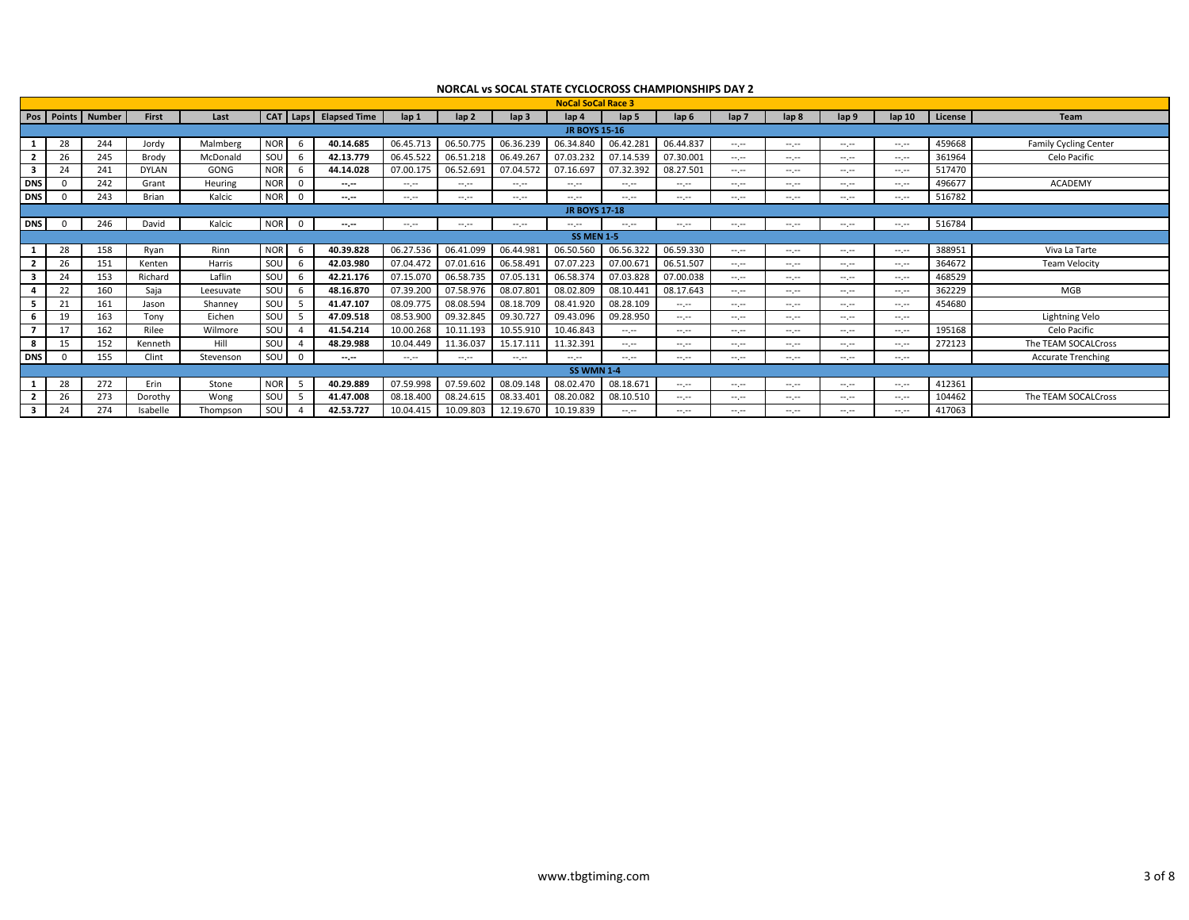|            |    |                       |              |           |                           |                       |                                                                                                                           |                                                                                                                           |                  | <b>NoCal SoCal Race 3</b> |              |                |                  |                  |                                                                                                                                                                                                                                                                                                                                                                                                                                                                            |                                                                                                                                                                                                                                                                                                                                                                                                                                                                            |         |                              |
|------------|----|-----------------------|--------------|-----------|---------------------------|-----------------------|---------------------------------------------------------------------------------------------------------------------------|---------------------------------------------------------------------------------------------------------------------------|------------------|---------------------------|--------------|----------------|------------------|------------------|----------------------------------------------------------------------------------------------------------------------------------------------------------------------------------------------------------------------------------------------------------------------------------------------------------------------------------------------------------------------------------------------------------------------------------------------------------------------------|----------------------------------------------------------------------------------------------------------------------------------------------------------------------------------------------------------------------------------------------------------------------------------------------------------------------------------------------------------------------------------------------------------------------------------------------------------------------------|---------|------------------------------|
|            |    | Pos   Points   Number | <b>First</b> | Last      |                           | CAT Laps Elapsed Time | $\ln 1$                                                                                                                   | lap <sub>2</sub>                                                                                                          | lap <sub>3</sub> | lap <sub>4</sub>          | lap 5        | lap 6          | lap <sub>7</sub> | lap <sub>8</sub> | lap 9                                                                                                                                                                                                                                                                                                                                                                                                                                                                      | lap <sub>10</sub>                                                                                                                                                                                                                                                                                                                                                                                                                                                          | License | <b>Team</b>                  |
|            |    |                       |              |           |                           |                       |                                                                                                                           |                                                                                                                           |                  | <b>JR BOYS 15-16</b>      |              |                |                  |                  |                                                                                                                                                                                                                                                                                                                                                                                                                                                                            |                                                                                                                                                                                                                                                                                                                                                                                                                                                                            |         |                              |
|            | 28 | 244                   | Jordy        | Malmberg  | <b>NOR</b><br>6           | 40.14.685             | 06.45.713                                                                                                                 | 06.50.775                                                                                                                 | 06.36.239        | 06.34.840                 | 06.42.281    | 06.44.837      | $-1$             | $-1$             | $-1.1 - 1.0$                                                                                                                                                                                                                                                                                                                                                                                                                                                               | $-1.1 - 1.0$                                                                                                                                                                                                                                                                                                                                                                                                                                                               | 459668  | <b>Family Cycling Center</b> |
|            | 26 | 245                   | Brody        | McDonald  | SOU<br>-6                 | 42.13.779             | 06.45.522                                                                                                                 | 06.51.218                                                                                                                 | 06.49.267        | 07.03.232                 | 07.14.539    | 07.30.001      | <b>Security</b>  | --.--            | $-1$                                                                                                                                                                                                                                                                                                                                                                                                                                                                       | $-1.1 - 1.0$                                                                                                                                                                                                                                                                                                                                                                                                                                                               | 361964  | Celo Pacific                 |
| -3         | 24 | 241                   | <b>DYLAN</b> | GONG      | <b>NOR</b><br>-6          | 44.14.028             | 07.00.175                                                                                                                 | 06.52.691                                                                                                                 | 07.04.572        | 07.16.697                 | 07.32.392    | 08.27.501      | <b>Security</b>  | $-1$             | $-1$                                                                                                                                                                                                                                                                                                                                                                                                                                                                       | $-1.1$                                                                                                                                                                                                                                                                                                                                                                                                                                                                     | 517470  |                              |
| <b>DNS</b> |    | 242                   | Grant        | Heuring   | <b>NOR</b><br>$\mathbf 0$ | $-1$                  | angan                                                                                                                     | المسرمت                                                                                                                   | $-1$             | $-1$                      | $-1.1 - 1.0$ | $-1$           | <b>Security</b>  | $-1$             | $-1$                                                                                                                                                                                                                                                                                                                                                                                                                                                                       | $-1$                                                                                                                                                                                                                                                                                                                                                                                                                                                                       | 496677  | <b>ACADEMY</b>               |
| <b>DNS</b> |    | 243                   | Brian        | Kalcic    | <b>NOR</b><br>$\Omega$    | $-1$                  | $\frac{1}{2} \left( \frac{1}{2} \right) \left( \frac{1}{2} \right) \left( \frac{1}{2} \right) \left( \frac{1}{2} \right)$ | $\frac{1}{2} \left( \frac{1}{2} \right) \left( \frac{1}{2} \right) \left( \frac{1}{2} \right) \left( \frac{1}{2} \right)$ | $-1$             | $-1.1 - 1.0$              | $-1.1$       | $-1$           | <b>Security</b>  | $-1$             | $-1$                                                                                                                                                                                                                                                                                                                                                                                                                                                                       | --.--                                                                                                                                                                                                                                                                                                                                                                                                                                                                      | 516782  |                              |
|            |    |                       |              |           |                           |                       |                                                                                                                           |                                                                                                                           |                  | <b>JR BOYS 17-18</b>      |              |                |                  |                  |                                                                                                                                                                                                                                                                                                                                                                                                                                                                            |                                                                                                                                                                                                                                                                                                                                                                                                                                                                            |         |                              |
| <b>DNS</b> |    | 246                   | David        | Kalcic    | <b>NOR</b><br>$^{\circ}$  | $-1$                  | المعرجين                                                                                                                  | $-1$                                                                                                                      | المعرضة          | $-1.1 - 1.0$              | $-1.1$       | المعرجة        | $-1$             | $-1$             | $-1$                                                                                                                                                                                                                                                                                                                                                                                                                                                                       | $-1$                                                                                                                                                                                                                                                                                                                                                                                                                                                                       | 516784  |                              |
|            |    |                       |              |           |                           |                       |                                                                                                                           |                                                                                                                           |                  | <b>SS MEN 1-5</b>         |              |                |                  |                  |                                                                                                                                                                                                                                                                                                                                                                                                                                                                            |                                                                                                                                                                                                                                                                                                                                                                                                                                                                            |         |                              |
|            | 28 | 158                   | Ryan         | Rinn      | <b>NOR</b><br>6           | 40.39.828             | 06.27.536                                                                                                                 | 06.41.099                                                                                                                 | 06.44.981        | 06.50.560                 | 06.56.322    | 06.59.330      | $-1$             | $-1$             | $-1.1 - 1.0$                                                                                                                                                                                                                                                                                                                                                                                                                                                               | $-1$                                                                                                                                                                                                                                                                                                                                                                                                                                                                       | 388951  | Viva La Tarte                |
|            | 26 | 151                   | Kenten       | Harris    | SOU<br>b                  | 42.03.980             | 07.04.472                                                                                                                 | 07.01.616                                                                                                                 | 06.58.491        | 07.07.223                 | 07.00.671    | 06.51.507      | $-1$             | $-1$             | $-1.1 - 1.0$                                                                                                                                                                                                                                                                                                                                                                                                                                                               | $-1.1$                                                                                                                                                                                                                                                                                                                                                                                                                                                                     | 364672  | Team Velocity                |
| -3         | 24 | 153                   | Richard      | Laflin    | SOU<br>-6                 | 42.21.176             | 07.15.070                                                                                                                 | 06.58.735                                                                                                                 | 07.05.131        | 06.58.374                 | 07.03.828    | 07.00.038      | $-1$             | $-1$             | $-1$                                                                                                                                                                                                                                                                                                                                                                                                                                                                       | $-1.1 - 1.0$                                                                                                                                                                                                                                                                                                                                                                                                                                                               | 468529  |                              |
|            | 22 | 160                   | Saja         | Leesuvate | SOU<br>-6                 | 48.16.870             | 07.39.200                                                                                                                 | 07.58.976                                                                                                                 | 08.07.801        | 08.02.809                 | 08.10.441    | 08.17.643      | <b>Section</b>   | $-1$             | $-1$                                                                                                                                                                                                                                                                                                                                                                                                                                                                       | $\cdots \cdots$                                                                                                                                                                                                                                                                                                                                                                                                                                                            | 362229  | MGB                          |
| 5          | 21 | 161                   | Jason        | Shanney   | SOU<br>- 5                | 41.47.107             | 08.09.775                                                                                                                 | 08.08.594                                                                                                                 | 08.18.709        | 08.41.920                 | 08.28.109    | and provided   | <b>Security</b>  | $-1$             | $-1$                                                                                                                                                                                                                                                                                                                                                                                                                                                                       | --.--                                                                                                                                                                                                                                                                                                                                                                                                                                                                      | 454680  |                              |
|            | 19 | 163                   | Tony         | Eichen    | SOU<br>-5                 | 47.09.518             | 08.53.900                                                                                                                 | 09.32.845                                                                                                                 | 09.30.727        | 09.43.096                 | 09.28.950    | $-1$           | $-1$             | --.--            | $\frac{1}{2} \left( \frac{1}{2} \right) \left( \frac{1}{2} \right) \left( \frac{1}{2} \right) \left( \frac{1}{2} \right) \left( \frac{1}{2} \right) \left( \frac{1}{2} \right) \left( \frac{1}{2} \right) \left( \frac{1}{2} \right) \left( \frac{1}{2} \right) \left( \frac{1}{2} \right) \left( \frac{1}{2} \right) \left( \frac{1}{2} \right) \left( \frac{1}{2} \right) \left( \frac{1}{2} \right) \left( \frac{1}{2} \right) \left( \frac{1}{2} \right) \left( \frac$ | $-1.1 - 1.0$                                                                                                                                                                                                                                                                                                                                                                                                                                                               |         | Lightning Velo               |
|            | 17 | 162                   | Rilee        | Wilmore   | SOU                       | 41.54.214             | 10.00.268                                                                                                                 | 10.11.193                                                                                                                 | 10.55.910        | 10.46.843                 | $-1.1 - 1.0$ | $-1$           | $-1$             | --.--            | $-1$                                                                                                                                                                                                                                                                                                                                                                                                                                                                       | --.--                                                                                                                                                                                                                                                                                                                                                                                                                                                                      | 195168  | Celo Pacific                 |
|            | 15 | 152                   | Kenneth      | Hill      | SOU                       | 48.29.988             | 10.04.449                                                                                                                 | 11.36.037                                                                                                                 | 15.17.111        | 11.32.391                 | $-1.1$       | $-1$           | $-1$             | $-1$             | $-1.1 - 1.0$                                                                                                                                                                                                                                                                                                                                                                                                                                                               | $-1.1$                                                                                                                                                                                                                                                                                                                                                                                                                                                                     | 272123  | The TEAM SOCALCross          |
| <b>DNS</b> |    | 155                   | Clint        | Stevenson | SOU<br>$\mathbf 0$        | $-1$                  | $-1.1 - 1.0$                                                                                                              | $\frac{1}{2} \left( \frac{1}{2} \right) \left( \frac{1}{2} \right) \left( \frac{1}{2} \right) \left( \frac{1}{2} \right)$ | --.-             | $-1.1 - 1.0$              | $-1.1$       | $-1$           | <b>Security</b>  | $-1$             | $-1.1 - 1.0$                                                                                                                                                                                                                                                                                                                                                                                                                                                               | $\frac{1}{2} \left( \frac{1}{2} \right) \left( \frac{1}{2} \right) \left( \frac{1}{2} \right) \left( \frac{1}{2} \right) \left( \frac{1}{2} \right) \left( \frac{1}{2} \right) \left( \frac{1}{2} \right) \left( \frac{1}{2} \right) \left( \frac{1}{2} \right) \left( \frac{1}{2} \right) \left( \frac{1}{2} \right) \left( \frac{1}{2} \right) \left( \frac{1}{2} \right) \left( \frac{1}{2} \right) \left( \frac{1}{2} \right) \left( \frac{1}{2} \right) \left( \frac$ |         | <b>Accurate Trenching</b>    |
|            |    |                       |              |           |                           |                       |                                                                                                                           |                                                                                                                           |                  | <b>SS WMN 1-4</b>         |              |                |                  |                  |                                                                                                                                                                                                                                                                                                                                                                                                                                                                            |                                                                                                                                                                                                                                                                                                                                                                                                                                                                            |         |                              |
|            | 28 | 272                   | Erin         | Stone     | <b>NOR</b><br>-5          | 40.29.889             | 07.59.998                                                                                                                 | 07.59.602  08.09.148                                                                                                      |                  | 08.02.470                 | 08.18.671    | and provide    | $-1$             | $-1$             | $-1$                                                                                                                                                                                                                                                                                                                                                                                                                                                                       | $-1$                                                                                                                                                                                                                                                                                                                                                                                                                                                                       | 412361  |                              |
|            | 26 | 273                   | Dorothy      | Wong      | SOU<br>- 5                | 41.47.008             | 08.18.400                                                                                                                 | 08.24.615                                                                                                                 | 08.33.401        | 08.20.082                 | 08.10.510    | <b>Service</b> | <b>Security</b>  | $-1$             | $-1$                                                                                                                                                                                                                                                                                                                                                                                                                                                                       | --.--                                                                                                                                                                                                                                                                                                                                                                                                                                                                      | 104462  | The TEAM SOCALCross          |
| 3          | 24 | 274                   | Isabelle     | Thompson  | SOU                       | 42.53.727             | 10.04.415                                                                                                                 | 10.09.803                                                                                                                 | 12.19.670        | 10.19.839                 | $-1.1$       | and your       | $-1$             | --.--            | $\frac{1}{2} \left( \frac{1}{2} \right) \left( \frac{1}{2} \right) \left( \frac{1}{2} \right) \left( \frac{1}{2} \right) \left( \frac{1}{2} \right) \left( \frac{1}{2} \right) \left( \frac{1}{2} \right) \left( \frac{1}{2} \right) \left( \frac{1}{2} \right) \left( \frac{1}{2} \right) \left( \frac{1}{2} \right) \left( \frac{1}{2} \right) \left( \frac{1}{2} \right) \left( \frac{1}{2} \right) \left( \frac{1}{2} \right) \left( \frac{1}{2} \right) \left( \frac$ | --.--                                                                                                                                                                                                                                                                                                                                                                                                                                                                      | 417063  |                              |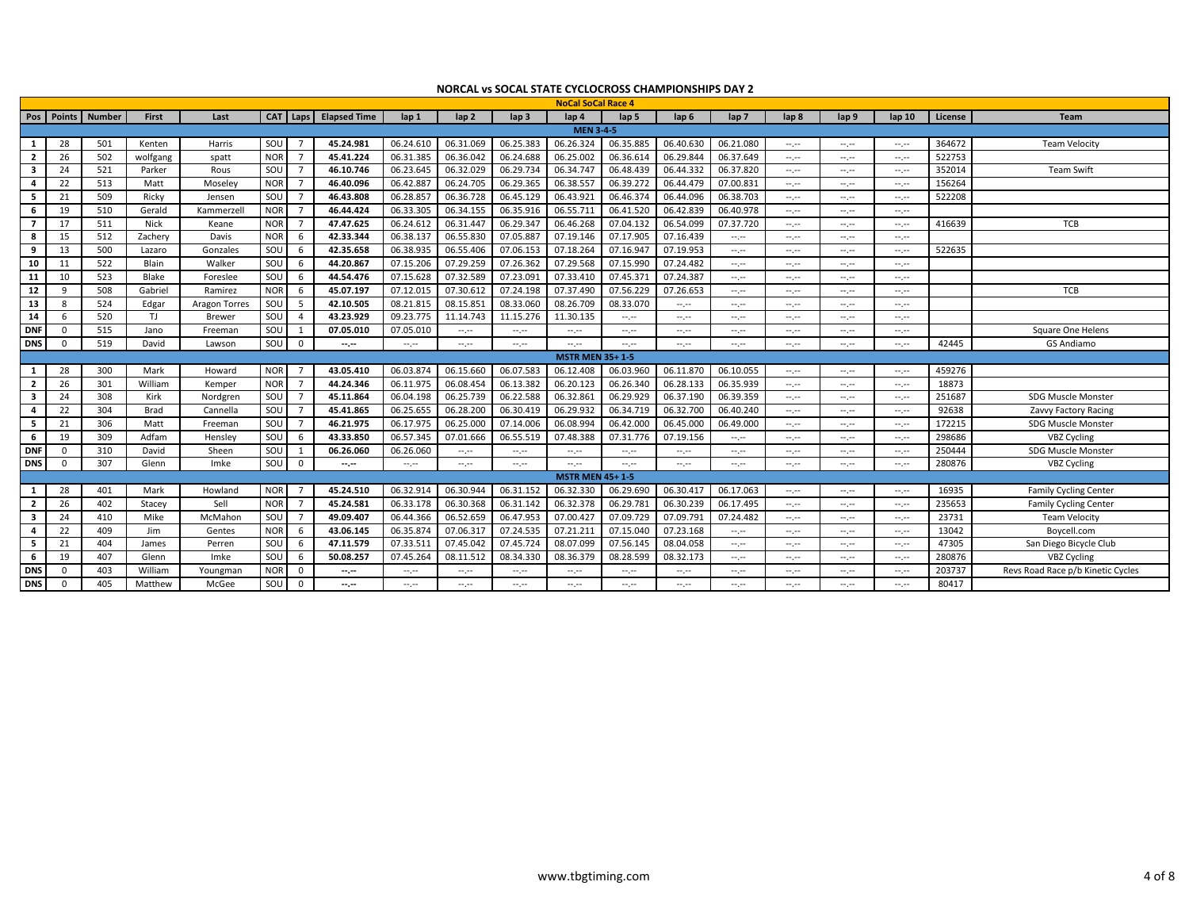|                |          |                   |              |               |            |                |                     |                                                                                                |                                                                                                                                                                                                                                                                                                                                                                                                                                                                            |                                                                                                | <b>NoCal SoCal Race 4</b> |           |                                                                                                |                  |                  |              |                                                                                                                                                                                                                                                                                                                                                                                                                                                |         |                                   |
|----------------|----------|-------------------|--------------|---------------|------------|----------------|---------------------|------------------------------------------------------------------------------------------------|----------------------------------------------------------------------------------------------------------------------------------------------------------------------------------------------------------------------------------------------------------------------------------------------------------------------------------------------------------------------------------------------------------------------------------------------------------------------------|------------------------------------------------------------------------------------------------|---------------------------|-----------|------------------------------------------------------------------------------------------------|------------------|------------------|--------------|------------------------------------------------------------------------------------------------------------------------------------------------------------------------------------------------------------------------------------------------------------------------------------------------------------------------------------------------------------------------------------------------------------------------------------------------|---------|-----------------------------------|
|                |          | Pos Points Number | <b>First</b> | Last          |            | CAT   Laps     | <b>Elapsed Time</b> | lap 1                                                                                          | $\ln 2$                                                                                                                                                                                                                                                                                                                                                                                                                                                                    | lap <sub>3</sub>                                                                               | $\ln 4$                   | lap 5     | lap 6                                                                                          | lap <sub>7</sub> | lap <sub>8</sub> | lap 9        | lap <sub>10</sub>                                                                                                                                                                                                                                                                                                                                                                                                                              | License | <b>Team</b>                       |
|                |          |                   |              |               |            |                |                     |                                                                                                |                                                                                                                                                                                                                                                                                                                                                                                                                                                                            |                                                                                                | <b>MEN 3-4-5</b>          |           |                                                                                                |                  |                  |              |                                                                                                                                                                                                                                                                                                                                                                                                                                                |         |                                   |
| 1              | 28       | 501               | Kenten       | Harris        | SOU        | $\overline{7}$ | 45.24.981           | 06.24.610                                                                                      | 06.31.069                                                                                                                                                                                                                                                                                                                                                                                                                                                                  | 06.25.383                                                                                      | 06.26.324                 | 06.35.885 | 06.40.630                                                                                      | 06.21.080        | --.--            | $-1$         | $\frac{1}{2} \left( \frac{1}{2} \right) \left( \frac{1}{2} \right) \left( \frac{1}{2} \right)$                                                                                                                                                                                                                                                                                                                                                 | 364672  | <b>Team Velocity</b>              |
| $\overline{2}$ | 26       | 502               | wolfgang     | spatt         | <b>NOR</b> | $\overline{7}$ | 45.41.224           | 06.31.385                                                                                      | 06.36.042                                                                                                                                                                                                                                                                                                                                                                                                                                                                  | 06.24.688                                                                                      | 06.25.002                 | 06.36.614 | 06.29.844                                                                                      | 06.37.649        | $-1$             | $-1$         | $\frac{1}{2} \left( \frac{1}{2} \right) \left( \frac{1}{2} \right) \left( \frac{1}{2} \right)$                                                                                                                                                                                                                                                                                                                                                 | 522753  |                                   |
| -3             | 24       | 521               | Parker       | Rous          | SOU        | $\overline{7}$ | 46.10.746           | 06.23.645                                                                                      | 06.32.029                                                                                                                                                                                                                                                                                                                                                                                                                                                                  | 06.29.734                                                                                      | 06.34.747                 | 06.48.439 | 06.44.332                                                                                      | 06.37.820        | $-1$             | $-1$         | --.--                                                                                                                                                                                                                                                                                                                                                                                                                                          | 352014  | <b>Team Swift</b>                 |
| -4             | 22       | 513               | Matt         | Moseley       | <b>NOR</b> | $\overline{7}$ | 46.40.096           | 06.42.887                                                                                      | 06.24.705                                                                                                                                                                                                                                                                                                                                                                                                                                                                  | 06.29.365                                                                                      | 06.38.557                 | 06.39.272 | 06.44.479                                                                                      | 07.00.831        | $-1$             | $-1$         | --.--                                                                                                                                                                                                                                                                                                                                                                                                                                          | 156264  |                                   |
| -5             | 21       | 509               | Ricky        | Jensen        | SOU        | $\overline{7}$ | 46.43.808           | 06.28.857                                                                                      | 06.36.728                                                                                                                                                                                                                                                                                                                                                                                                                                                                  | 06.45.129                                                                                      | 06.43.921                 | 06.46.374 | 06.44.096                                                                                      | 06.38.703        | $-1$             | $-1$         | $\frac{1}{2} \left( \frac{1}{2} \right) \left( \frac{1}{2} \right) \left( \frac{1}{2} \right)$                                                                                                                                                                                                                                                                                                                                                 | 522208  |                                   |
| 6              | 19       | 510               | Gerald       | Kammerzell    | <b>NOR</b> | $\overline{7}$ | 46.44.424           | 06.33.305                                                                                      | 06.34.155                                                                                                                                                                                                                                                                                                                                                                                                                                                                  | 06.35.916                                                                                      | 06.55.71                  | 06.41.520 | 06.42.839                                                                                      | 06.40.978        | $-1, -1$         | $-1$         | $\frac{1}{2} \left( \frac{1}{2} \right) \left( \frac{1}{2} \right) \left( \frac{1}{2} \right)$                                                                                                                                                                                                                                                                                                                                                 |         |                                   |
| 7              | 17       | 511               | <b>Nick</b>  | Keane         | <b>NOR</b> | $\overline{7}$ | 47.47.625           | 06.24.612                                                                                      | 06.31.447                                                                                                                                                                                                                                                                                                                                                                                                                                                                  | 06.29.347                                                                                      | 06.46.268                 | 07.04.132 | 06.54.099                                                                                      | 07.37.720        | $-1, -1$         | --.--        | $\frac{1}{2} \left( \frac{1}{2} \right) \left( \frac{1}{2} \right) \left( \frac{1}{2} \right)$                                                                                                                                                                                                                                                                                                                                                 | 416639  | TCB                               |
| -8             | 15       | 512               | Zachery      | Davis         | <b>NOR</b> | 6              | 42.33.344           | 06.38.137                                                                                      | 06.55.830                                                                                                                                                                                                                                                                                                                                                                                                                                                                  | 07.05.887                                                                                      | 07.19.146                 | 07.17.905 | 07.16.439                                                                                      | --.--            | $-1$             | $-1$         | $\frac{1}{2} \left( \frac{1}{2} \right) \left( \frac{1}{2} \right) \left( \frac{1}{2} \right)$                                                                                                                                                                                                                                                                                                                                                 |         |                                   |
| 9              | 13       | 500               | Lazaro       | Gonzales      | SOU        | 6              | 42.35.658           | 06.38.935                                                                                      | 06.55.406                                                                                                                                                                                                                                                                                                                                                                                                                                                                  | 07.06.153                                                                                      | 07.18.264                 | 07.16.947 | 07.19.953                                                                                      | $-1$             | --.--            | $-$ , $-$    | $\frac{1}{2} \left( \frac{1}{2} \right) + \frac{1}{2} \left( \frac{1}{2} \right) + \frac{1}{2} \left( \frac{1}{2} \right) + \frac{1}{2} \left( \frac{1}{2} \right) + \frac{1}{2} \left( \frac{1}{2} \right) + \frac{1}{2} \left( \frac{1}{2} \right) + \frac{1}{2} \left( \frac{1}{2} \right) + \frac{1}{2} \left( \frac{1}{2} \right) + \frac{1}{2} \left( \frac{1}{2} \right) + \frac{1}{2} \left( \frac{1}{2} \right) + \frac{1}{2} \left($ | 522635  |                                   |
| 10             | 11       | 522               | Blain        | Walker        | SOU        | 6              | 44.20.867           | 07.15.206                                                                                      | 07.29.259                                                                                                                                                                                                                                                                                                                                                                                                                                                                  | 07.26.362                                                                                      | 07.29.568                 | 07.15.990 | 07.24.482                                                                                      | $-1$             | $\sim$           | $-1$         | $\frac{1}{2} \left( \frac{1}{2} \right) \left( \frac{1}{2} \right) \left( \frac{1}{2} \right)$                                                                                                                                                                                                                                                                                                                                                 |         |                                   |
| 11             | 10       | 523               | Blake        | Foreslee      | SOU        | 6              | 44.54.476           | 07.15.628                                                                                      | 07.32.589                                                                                                                                                                                                                                                                                                                                                                                                                                                                  | 07.23.091                                                                                      | 07.33.410                 | 07.45.371 | 07.24.387                                                                                      | $-1$             | $-1.1$           | $-1.1 - 1.0$ | $-1.1 - 1.0$                                                                                                                                                                                                                                                                                                                                                                                                                                   |         |                                   |
| 12             | q        | 508               | Gabriel      | Ramirez       | <b>NOR</b> | 6              | 45.07.197           | 07.12.015                                                                                      | 07.30.612                                                                                                                                                                                                                                                                                                                                                                                                                                                                  | 07.24.198                                                                                      | 07.37.490                 | 07.56.229 | 07.26.653                                                                                      | $\sim$           | $-1$             | $-1$         | $\frac{1}{2} \left( \frac{1}{2} \right) \left( \frac{1}{2} \right) \left( \frac{1}{2} \right)$                                                                                                                                                                                                                                                                                                                                                 |         | TCB                               |
| 13             | 8        | 524               | Edgar        | Aragon Torres | SOU        | - 5            | 42.10.505           | 08.21.815                                                                                      | 08.15.85                                                                                                                                                                                                                                                                                                                                                                                                                                                                   | 08.33.060                                                                                      | 08.26.709                 | 08.33.070 | $\frac{1}{2} \left( \frac{1}{2} \right) \left( \frac{1}{2} \right) \left( \frac{1}{2} \right)$ | $-1$             | $-1$             | $-1.1$       | $-1.1 - 1.0$                                                                                                                                                                                                                                                                                                                                                                                                                                   |         |                                   |
| 14             |          | 520               | TJ.          | <b>Brewer</b> | SOU        | $\overline{4}$ | 43.23.929           | 09.23.775                                                                                      | 11.14.743                                                                                                                                                                                                                                                                                                                                                                                                                                                                  | 11.15.276                                                                                      | 11.30.135                 | $-1$      | $\frac{1}{2} \left( \frac{1}{2} \right) \left( \frac{1}{2} \right) \left( \frac{1}{2} \right)$ | $-1$             | --.--            | $-1$         | --.--                                                                                                                                                                                                                                                                                                                                                                                                                                          |         |                                   |
| <b>DNF</b>     |          | 515               | Jano         | Freeman       | SOU        | 1              | 07.05.010           | 07.05.010                                                                                      | $-1.1 - 1.0$                                                                                                                                                                                                                                                                                                                                                                                                                                                               | $\frac{1}{2} \left( \frac{1}{2} \right) \left( \frac{1}{2} \right) \left( \frac{1}{2} \right)$ | $-1.1$                    | $-1.1$    | $-1.1$                                                                                         | $-1$             | $-1$             | $-1.1$       | $-1.1$                                                                                                                                                                                                                                                                                                                                                                                                                                         |         | Square One Helens                 |
| <b>DNS</b>     |          | 519               | David        | Lawson        | SOU        | $\overline{0}$ | $-1$                | $\frac{1}{2} \left( \frac{1}{2} \right) \left( \frac{1}{2} \right) \left( \frac{1}{2} \right)$ | $\frac{1}{2} \left( \frac{1}{2} \right) \left( \frac{1}{2} \right) \left( \frac{1}{2} \right) \left( \frac{1}{2} \right) \left( \frac{1}{2} \right) \left( \frac{1}{2} \right) \left( \frac{1}{2} \right) \left( \frac{1}{2} \right) \left( \frac{1}{2} \right) \left( \frac{1}{2} \right) \left( \frac{1}{2} \right) \left( \frac{1}{2} \right) \left( \frac{1}{2} \right) \left( \frac{1}{2} \right) \left( \frac{1}{2} \right) \left( \frac{1}{2} \right) \left( \frac$ | $-1$                                                                                           | --.--                     | $-1$      | $-1$                                                                                           | $-1$             | --.--            | $-1$         | --.--                                                                                                                                                                                                                                                                                                                                                                                                                                          | 42445   | <b>GS Andiamo</b>                 |
|                |          |                   |              |               |            |                |                     |                                                                                                |                                                                                                                                                                                                                                                                                                                                                                                                                                                                            |                                                                                                | <b>MSTR MEN 35+1-5</b>    |           |                                                                                                |                  |                  |              |                                                                                                                                                                                                                                                                                                                                                                                                                                                |         |                                   |
| -1             | 28       | 300               | Mark         | Howard        | <b>NOR</b> | -7             | 43.05.410           | 06.03.874                                                                                      | 06.15.660                                                                                                                                                                                                                                                                                                                                                                                                                                                                  | 06.07.583                                                                                      | 06.12.408                 | 06.03.960 | 06.11.870                                                                                      | 06.10.055        | --.--            | $-1$         | $\frac{1}{2} \left( \frac{1}{2} \right) \left( \frac{1}{2} \right) \left( \frac{1}{2} \right)$                                                                                                                                                                                                                                                                                                                                                 | 459276  |                                   |
| $\mathbf{2}$   | 26       | 301               | William      | Kemper        | <b>NOR</b> | $\overline{7}$ | 44.24.346           | 06.11.975                                                                                      | 06.08.454                                                                                                                                                                                                                                                                                                                                                                                                                                                                  | 06.13.382                                                                                      | 06.20.123                 | 06.26.340 | 06.28.133                                                                                      | 06.35.939        | --.--            | $-1$         | $-1.1$                                                                                                                                                                                                                                                                                                                                                                                                                                         | 18873   |                                   |
| -3             | 24       | 308               | Kirk         | Nordgren      | SOU        | $\overline{7}$ | 45.11.864           | 06.04.198                                                                                      | 06.25.739                                                                                                                                                                                                                                                                                                                                                                                                                                                                  | 06.22.588                                                                                      | 06.32.86                  | 06.29.929 | 06.37.190                                                                                      | 06.39.359        | $-1.1 - 1.0$     | $-1.1$       | $-1.1 - 1.0$                                                                                                                                                                                                                                                                                                                                                                                                                                   | 251687  | <b>SDG Muscle Monster</b>         |
| 4              | 22       | 304               | <b>Brad</b>  | Cannella      | SOU        | $\overline{7}$ | 45.41.865           | 06.25.655                                                                                      | 06.28.200                                                                                                                                                                                                                                                                                                                                                                                                                                                                  | 06.30.419                                                                                      | 06.29.93                  | 06.34.719 | 06.32.700                                                                                      | 06.40.240        | $-1$             | $-1$         | $\frac{1}{2} \left( \frac{1}{2} \right) \left( \frac{1}{2} \right) \left( \frac{1}{2} \right)$                                                                                                                                                                                                                                                                                                                                                 | 92638   | Zavvy Factory Racing              |
| -5             | 21       | 306               | Matt         | Freeman       | SOU        | $\overline{7}$ | 46.21.975           | 06.17.975                                                                                      | 06.25.000                                                                                                                                                                                                                                                                                                                                                                                                                                                                  | 07.14.006                                                                                      | 06.08.994                 | 06.42.000 | 06.45.000                                                                                      | 06.49.000        | $-1$             | $-1$         | $\frac{1}{2} \left( \frac{1}{2} \right) + \frac{1}{2} \left( \frac{1}{2} \right) + \frac{1}{2} \left( \frac{1}{2} \right) + \frac{1}{2} \left( \frac{1}{2} \right) + \frac{1}{2} \left( \frac{1}{2} \right) + \frac{1}{2} \left( \frac{1}{2} \right) + \frac{1}{2} \left( \frac{1}{2} \right) + \frac{1}{2} \left( \frac{1}{2} \right) + \frac{1}{2} \left( \frac{1}{2} \right) + \frac{1}{2} \left( \frac{1}{2} \right) + \frac{1}{2} \left($ | 172215  | SDG Muscle Monster                |
| -6             | 19       | 309               | Adfam        | Hensley       | SOU        | - 6            | 43.33.850           | 06.57.345                                                                                      | 07.01.666                                                                                                                                                                                                                                                                                                                                                                                                                                                                  | 06.55.519                                                                                      | 07.48.388                 | 07.31.776 | 07.19.156                                                                                      | $-1$             | --.--            | $-1$         | $-1.1$                                                                                                                                                                                                                                                                                                                                                                                                                                         | 298686  | <b>VBZ Cycling</b>                |
| <b>DNF</b>     | $\Omega$ | 310               | David        | Sheen         | SOU        | 1              | 06.26.060           | 06.26.060                                                                                      | --.--                                                                                                                                                                                                                                                                                                                                                                                                                                                                      | $-1$                                                                                           | --.--                     | $-1$      | --.--                                                                                          | $-1$             | --.--            | $-1$         | --.--                                                                                                                                                                                                                                                                                                                                                                                                                                          | 250444  | <b>SDG Muscle Monster</b>         |
| <b>DNS</b>     | $\Omega$ | 307               | Glenn        | Imke          | SOU        | $\overline{0}$ | $-1$                | $\frac{1}{2} \left( \frac{1}{2} \right) \left( \frac{1}{2} \right) \left( \frac{1}{2} \right)$ | $\sim$                                                                                                                                                                                                                                                                                                                                                                                                                                                                     | $\frac{1}{2} \left( \frac{1}{2} \right) \left( \frac{1}{2} \right) \left( \frac{1}{2} \right)$ | $-1.1$                    | $-1$      | $\frac{1}{2} \left( \frac{1}{2} \right) \left( \frac{1}{2} \right) \left( \frac{1}{2} \right)$ | $\sim$           | $-1$             | $-1$         | $\sim$                                                                                                                                                                                                                                                                                                                                                                                                                                         | 280876  | <b>VBZ Cycling</b>                |
|                |          |                   |              |               |            |                |                     |                                                                                                |                                                                                                                                                                                                                                                                                                                                                                                                                                                                            |                                                                                                | <b>MSTR MEN 45+1-5</b>    |           |                                                                                                |                  |                  |              |                                                                                                                                                                                                                                                                                                                                                                                                                                                |         |                                   |
|                | 28       | 401               | Mark         | Howland       | <b>NOR</b> | $\overline{7}$ | 45.24.510           | 06.32.914                                                                                      | 06.30.944                                                                                                                                                                                                                                                                                                                                                                                                                                                                  | 06.31.152                                                                                      | 06.32.330                 | 06.29.690 | 06.30.417                                                                                      | 06.17.063        | $-1$             | $-1$         | $\frac{1}{2} \left( \frac{1}{2} \right) \left( \frac{1}{2} \right) \left( \frac{1}{2} \right)$                                                                                                                                                                                                                                                                                                                                                 | 16935   | Family Cycling Center             |
| $\overline{2}$ | 26       | 402               | Stacey       | Sell          | <b>NOR</b> | $\overline{7}$ | 45.24.581           | 06.33.178                                                                                      | 06.30.368                                                                                                                                                                                                                                                                                                                                                                                                                                                                  | 06.31.142                                                                                      | 06.32.378                 | 06.29.781 | 06.30.239                                                                                      | 06.17.495        | $-1$             | $-1$         | $\frac{1}{2} \left( \frac{1}{2} \right) \left( \frac{1}{2} \right) \left( \frac{1}{2} \right)$                                                                                                                                                                                                                                                                                                                                                 | 235653  | Family Cycling Center             |
| -3             | 24       | 410               | Mike         | McMahon       | SOU        | $\overline{7}$ | 49.09.407           | 06.44.366                                                                                      | 06.52.659                                                                                                                                                                                                                                                                                                                                                                                                                                                                  | 06.47.953                                                                                      | 07.00.427                 | 07.09.729 | 07.09.791                                                                                      | 07.24.482        | $-1$             | $-1$         | $\frac{1}{2} \left( \frac{1}{2} \right) \left( \frac{1}{2} \right) \left( \frac{1}{2} \right)$                                                                                                                                                                                                                                                                                                                                                 | 23731   | <b>Team Velocity</b>              |
| 4              | 22       | 409               | Jim          | Gentes        | <b>NOR</b> | 6              | 43.06.145           | 06.35.874                                                                                      | 07.06.317                                                                                                                                                                                                                                                                                                                                                                                                                                                                  | 07.24.535                                                                                      | 07.21.21                  | 07.15.040 | 07.23.168                                                                                      | $-1$             | $-1$             | $-1$         | $\frac{1}{2} \left( \frac{1}{2} \right) \left( \frac{1}{2} \right) \left( \frac{1}{2} \right)$                                                                                                                                                                                                                                                                                                                                                 | 13042   | Boycell.com                       |
| -5             | 21       | 404               | James        | Perren        | SOU        | 6              | 47.11.579           | 07.33.511                                                                                      | 07.45.042                                                                                                                                                                                                                                                                                                                                                                                                                                                                  | 07.45.724                                                                                      | 08.07.099                 | 07.56.145 | 08.04.058                                                                                      | $-1$             | $-1$             | $-1$         | $-1.1 - 1.0$                                                                                                                                                                                                                                                                                                                                                                                                                                   | 47305   | San Diego Bicycle Club            |
| -6             | 19       | 407               | Glenn        | Imke          | SOU        | - 6            | 50.08.257           | 07.45.264                                                                                      | 08.11.512                                                                                                                                                                                                                                                                                                                                                                                                                                                                  | 08.34.330                                                                                      | 08.36.379                 | 08.28.599 | 08.32.173                                                                                      | $-1$             | $-1$             | $-1.1$       | $-1.1 - 1.0$                                                                                                                                                                                                                                                                                                                                                                                                                                   | 280876  | VBZ Cycling                       |
| <b>DNS</b>     |          | 403               | William      | Youngman      | <b>NOR</b> | $^{\circ}$     | --.--               | $-1.1$                                                                                         | --.--                                                                                                                                                                                                                                                                                                                                                                                                                                                                      | --.--                                                                                          | --.--                     | $-1$      | $\frac{1}{2} \left( \frac{1}{2} \right) \left( \frac{1}{2} \right) \left( \frac{1}{2} \right)$ | $-1$             | --.--            | $-2$         | --.--                                                                                                                                                                                                                                                                                                                                                                                                                                          | 203737  | Revs Road Race p/b Kinetic Cycles |
| <b>DNS</b>     | $\Omega$ | 405               | Matthew      | McGee         | SOU        | $\Omega$       | --.--               | --,--                                                                                          | $-1.1 - 1.0$                                                                                                                                                                                                                                                                                                                                                                                                                                                               | --.-                                                                                           | --.-                      | $-1.1$    | --.-                                                                                           | $-1$             | $-1$             | angan        | $-1.1$                                                                                                                                                                                                                                                                                                                                                                                                                                         | 80417   |                                   |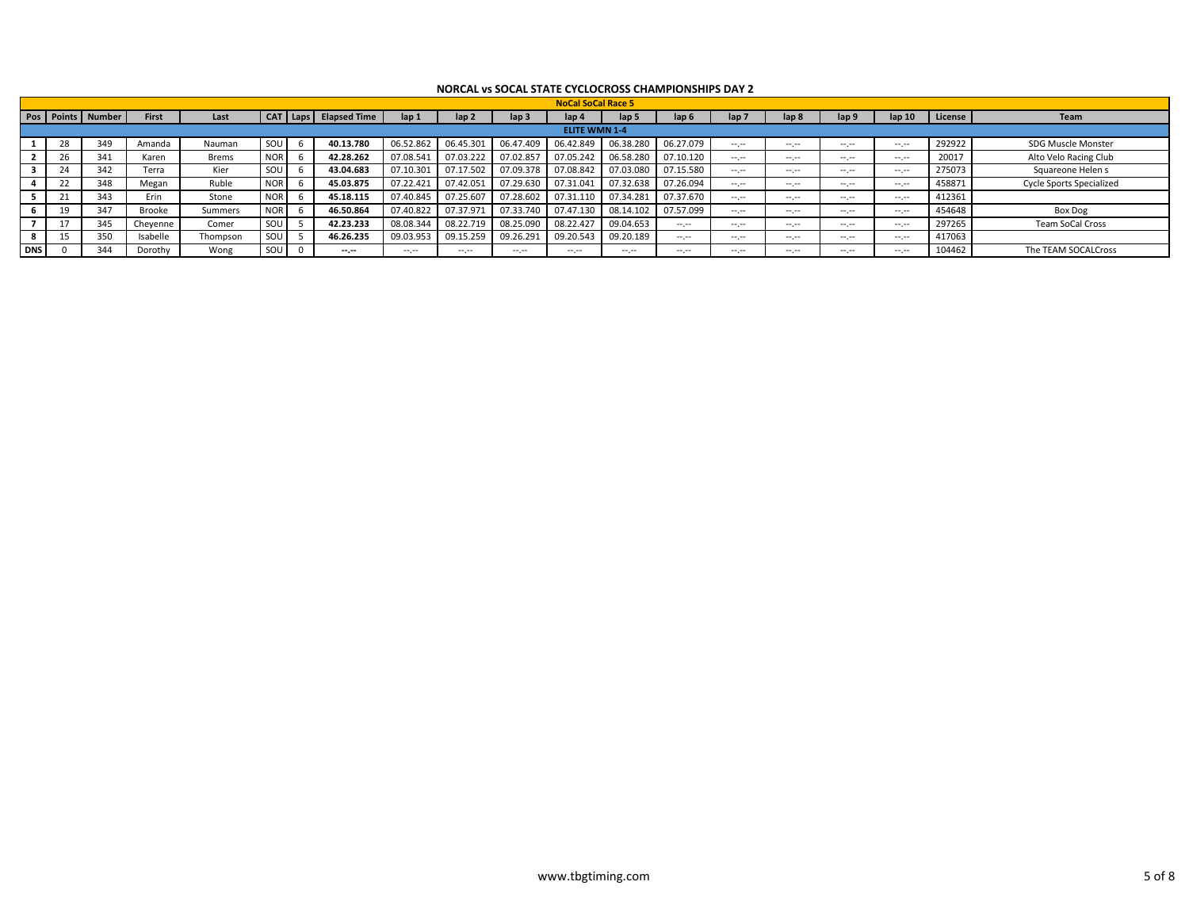|            |    |                   |              |              |            |                   |           |                  |                  | <b>NoCal SoCal Race 5</b> |           |            |              |                  |                 |        |         |                                 |
|------------|----|-------------------|--------------|--------------|------------|-------------------|-----------|------------------|------------------|---------------------------|-----------|------------|--------------|------------------|-----------------|--------|---------|---------------------------------|
|            |    | Pos Points Number | <b>First</b> | Last         | <b>CAT</b> | Laps Elapsed Time | lap 1     | lap <sub>2</sub> | lap <sub>3</sub> | lap 4                     | lan 5     | lan 6      | lap 7        | lap 8            | lap 9           | lap 10 | License | Team                            |
|            |    |                   |              |              |            |                   |           |                  |                  | <b>ELITE WMN 1-4</b>      |           |            |              |                  |                 |        |         |                                 |
|            | 28 | 349               | Amanda       | Nauman       | SOU        | 40.13.780         | 06.52.862 | 06.45.301        | 06.47.409        | 06.42.849                 | 06.38.280 | 06.27.079  | $-1$         | $-1$             | $-1$            | $-1$   | 292922  | SDG Muscle Monster              |
|            |    | 341               | Karen        | <b>Brems</b> | <b>NOR</b> | 42.28.262         | 07.08.541 | 07.03.222        | 07.02.857        | 07.05.242                 | 06.58.280 | 07.10.120  | $-1.1 - 1.0$ | and the contract | $-1$            | $-1$   | 20017   | Alto Velo Racing Club           |
|            |    | 342               | Terra        | Kier         | SOU        | 43.04.683         | 07.10.301 | 07.17.502        | 07.09.378        | 07.08.842                 | 07.03.080 | 07.15.580  | $-1.1 - 1.0$ | $-1$             | $\cdots$        | $-1$   | 275073  | Squareone Helen s               |
|            |    | 348               | Megan        | Ruble        | <b>NOR</b> | 45.03.875         | 07.22.421 | 07.42.051        | 07.29.630        | 07.31.041                 | 07.32.638 | 07.26.094  | $-1$         | $-1$             | $\cdots$        | $-1$   | 458871  | <b>Cycle Sports Specialized</b> |
|            |    | 343               | Frin         | Stone        | <b>NOR</b> | 45.18.115         | 07.40.845 | 07.25.607        | 07.28.602        | 07.31.110                 | 07.34.281 | 07.37.670  | $-1$         | $-1$             | $\cdots$        | $-1$   | 412361  |                                 |
|            |    | 347               | Brooke       | Summers      | <b>NOR</b> | 46.50.864         | 07.40.822 | 07.37.971        | 07.33.740        | 07.47.130                 | 08.14.102 | 07.57.099  | $-1$         | and the contract | $\cdots$        | $-1$   | 454648  | Box Dog                         |
|            |    | 345               | Cheyenne     | Comer        | SOU        | 42.23.233         | 08.08.344 | 08.22.719        | 08.25.090        | 08.22.427                 | 09.04.653 | المسترسمان | $-1$         | $-1$             | $\cdots$        | $-1$   | 297265  | Team SoCal Cross                |
|            |    | 350               | Isabelle     | Thompson     | SOU        | 46.26.235         | 09.03.953 | 09.15.259        | 09.26.291        | 09.20.543                 | 09.20.189 | $  -$      | $-1$         | $\cdots$<br>-.-  | $\cdots$<br>. . | $-1$   | 417063  |                                 |
| <b>DNS</b> |    | 344               | Dorothy      | Wong         | SOU        | $-1.1$            | $-1$      | $-1$             | المعرضة          | سمرسم                     | $-1$      | .          | $-1$         | $-1$ , $-1$      | $- - - -$       | $-1$   | 104462  | The TEAM SOCALCross             |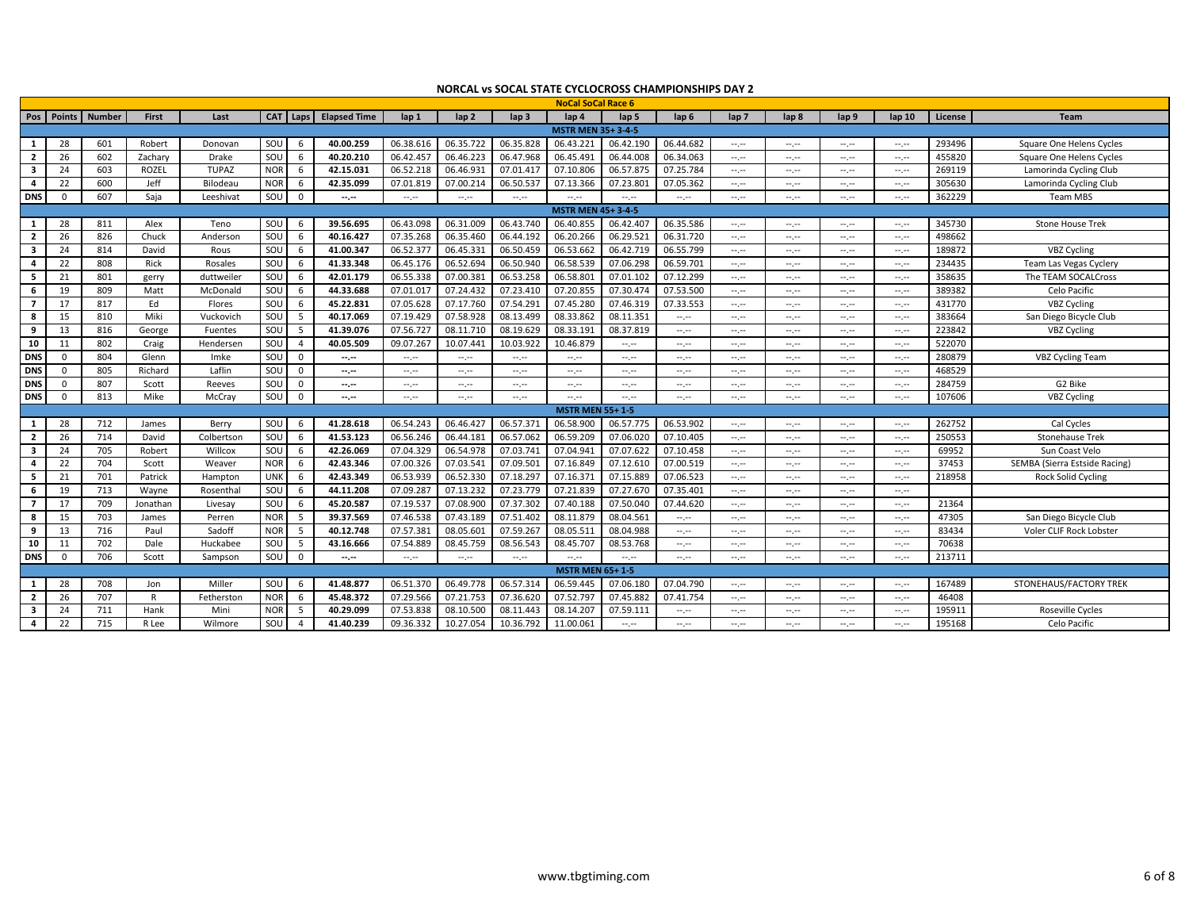|                         |              |               |              |              |            |                |                     |                                                                                                                                                     |                  |                  | <b>NoCal SoCal Race 6</b>                                                                      |                  |                                                                                                |                                                                                                |                  |                 |                                                                                                                                                                                                                                                                                                                                                                                                                                                |         |                               |
|-------------------------|--------------|---------------|--------------|--------------|------------|----------------|---------------------|-----------------------------------------------------------------------------------------------------------------------------------------------------|------------------|------------------|------------------------------------------------------------------------------------------------|------------------|------------------------------------------------------------------------------------------------|------------------------------------------------------------------------------------------------|------------------|-----------------|------------------------------------------------------------------------------------------------------------------------------------------------------------------------------------------------------------------------------------------------------------------------------------------------------------------------------------------------------------------------------------------------------------------------------------------------|---------|-------------------------------|
|                         | Pos Points   | <b>Number</b> | <b>First</b> | Last         |            | CAT Laps       | <b>Elapsed Time</b> | lap <sub>1</sub>                                                                                                                                    | lap <sub>2</sub> | lap <sub>3</sub> | lap <sub>4</sub>                                                                               | lap <sub>5</sub> | $\mathsf{lap} 6$                                                                               | lap <sub>7</sub>                                                                               | lap <sub>8</sub> | lap 9           | lap 10                                                                                                                                                                                                                                                                                                                                                                                                                                         | License | <b>Team</b>                   |
|                         |              |               |              |              |            |                |                     |                                                                                                                                                     |                  |                  | <b>MSTR MEN 35+ 3-4-5</b>                                                                      |                  |                                                                                                |                                                                                                |                  |                 |                                                                                                                                                                                                                                                                                                                                                                                                                                                |         |                               |
| -1                      | 28           | 601           | Robert       | Donovan      | SOU        | 6              | 40.00.259           | 06.38.616                                                                                                                                           | 06.35.722        | 06.35.828        | 06.43.221                                                                                      | 06.42.190        | 06.44.682                                                                                      | $-1.1$                                                                                         | --.--            | $-1.1$          | --.--                                                                                                                                                                                                                                                                                                                                                                                                                                          | 293496  | Square One Helens Cycles      |
| $\overline{2}$          | 26           | 602           | Zacharv      | Drake        | SOU        | 6              | 40.20.210           | 06.42.457                                                                                                                                           | 06.46.22         | 06.47.968        | 06.45.49                                                                                       | 06.44.008        | 06.34.063                                                                                      | $-1.1$                                                                                         | $-1$             | $-1.1$          | $-1.1$                                                                                                                                                                                                                                                                                                                                                                                                                                         | 455820  | Square One Helens Cycles      |
| $\overline{\mathbf{3}}$ | 24           | 603           | <b>ROZEL</b> | <b>TUPAZ</b> | <b>NOR</b> | 6              | 42.15.031           | 06.52.218                                                                                                                                           | 06.46.931        | 07.01.417        | 07.10.806                                                                                      | 06.57.875        | 07.25.784                                                                                      | $-1, -1$                                                                                       | --.--            | $-1$            | --.--                                                                                                                                                                                                                                                                                                                                                                                                                                          | 269119  | Lamorinda Cycling Club        |
| -4                      | 22           | 600           | Jeff         | Bilodeau     | <b>NOR</b> | 6              | 42.35.099           | 07.01.819                                                                                                                                           | 07.00.214        | 06.50.537        | 07.13.366                                                                                      | 07.23.801        | 07.05.362                                                                                      | $\frac{1}{2} \left( \frac{1}{2} \right) \left( \frac{1}{2} \right) \left( \frac{1}{2} \right)$ | --.--            | $-1$            | $\frac{1}{2} \left( \frac{1}{2} \right) + \frac{1}{2} \left( \frac{1}{2} \right) + \frac{1}{2} \left( \frac{1}{2} \right) + \frac{1}{2} \left( \frac{1}{2} \right) + \frac{1}{2} \left( \frac{1}{2} \right) + \frac{1}{2} \left( \frac{1}{2} \right) + \frac{1}{2} \left( \frac{1}{2} \right) + \frac{1}{2} \left( \frac{1}{2} \right) + \frac{1}{2} \left( \frac{1}{2} \right) + \frac{1}{2} \left( \frac{1}{2} \right) + \frac{1}{2} \left($ | 305630  | Lamorinda Cycling Club        |
| <b>DNS</b>              | $\Omega$     | 607           | Saja         | Leeshivat    | SOU        | $\mathbf{0}$   | --.--               | $-1.1 - 1.0$                                                                                                                                        | --.--            | --.-             | $-1$                                                                                           | $-1$             | $-1$                                                                                           | $-1.1$                                                                                         | --.--            | $-1.1$          | --.--                                                                                                                                                                                                                                                                                                                                                                                                                                          | 362229  | <b>Team MBS</b>               |
|                         |              |               |              |              |            |                |                     |                                                                                                                                                     |                  |                  | <b>MSTR MEN 45+ 3-4-5</b>                                                                      |                  |                                                                                                |                                                                                                |                  |                 |                                                                                                                                                                                                                                                                                                                                                                                                                                                |         |                               |
| -1                      | 28           | 811           | Alex         | Teno         | SOU        | - 6            | 39.56.695           | 06.43.098                                                                                                                                           | 06.31.009        | 06.43.740        | 06.40.855                                                                                      | 06.42.407        | 06.35.586                                                                                      | $-1$                                                                                           | --.--            | $-1.1$          | --.--                                                                                                                                                                                                                                                                                                                                                                                                                                          | 345730  | Stone House Trek              |
| $\overline{2}$          | 26           | 826           | Chuck        | Anderson     | SOU        | 6              | 40.16.427           | 07.35.268                                                                                                                                           | 06.35.460        | 06.44.192        | 06.20.266                                                                                      | 06.29.521        | 06.31.720                                                                                      | $\sim$                                                                                         | --.--            | $\sim$          | $\sim$                                                                                                                                                                                                                                                                                                                                                                                                                                         | 498662  |                               |
| - 3                     | 24           | 814           | David        | Rous         | SOU        | 6              | 41.00.347           | 06.52.377                                                                                                                                           | 06.45.33         | 06.50.459        | 06.53.662                                                                                      | 06.42.719        | 06.55.799                                                                                      | $\frac{1}{2} \left( \frac{1}{2} \right) \left( \frac{1}{2} \right) \left( \frac{1}{2} \right)$ | --.--            | $-1.1$          | --.--                                                                                                                                                                                                                                                                                                                                                                                                                                          | 189872  | <b>VBZ Cycling</b>            |
| 4                       | 22           | 808           | Rick         | Rosales      | SOU        | 6              | 41.33.348           | 06.45.176                                                                                                                                           | 06.52.694        | 06.50.940        | 06.58.539                                                                                      | 07.06.298        | 06.59.701                                                                                      | $\frac{1}{2} \left( \frac{1}{2} \right) \left( \frac{1}{2} \right) \left( \frac{1}{2} \right)$ | $-1$             | $-1$            | $\cdots \cdots$                                                                                                                                                                                                                                                                                                                                                                                                                                | 234435  | Team Las Vegas Cyclery        |
| - 5                     | 21           | 801           | gerry        | duttweiler   | SOU        | 6              | 42.01.179           | 06.55.338                                                                                                                                           | 07.00.381        | 06.53.258        | 06.58.801                                                                                      | 07.01.102        | 07.12.299                                                                                      | $-1$                                                                                           | --.--            | $-2$            | --.--                                                                                                                                                                                                                                                                                                                                                                                                                                          | 358635  | The TEAM SOCALCross           |
| 6                       | 19           | 809           | Matt         | McDonald     | SOU        | 6              | 44.33.688           | 07.01.017                                                                                                                                           | 07.24.432        | 07.23.410        | 07.20.855                                                                                      | 07.30.474        | 07.53.500                                                                                      | $\sim$                                                                                         | --.--            | $-1$            | $-1$                                                                                                                                                                                                                                                                                                                                                                                                                                           | 389382  | Celo Pacific                  |
| -7                      | 17           | 817           | Ed           | Flores       | SOU        | 6              | 45.22.831           | 07.05.628                                                                                                                                           | 07.17.760        | 07.54.291        | 07.45.280                                                                                      | 07.46.319        | 07.33.553                                                                                      | $-1.1$                                                                                         | $-1$             | $-1.1$          | --.--                                                                                                                                                                                                                                                                                                                                                                                                                                          | 431770  | <b>VBZ Cycling</b>            |
| 8                       | 15           | 810           | Miki         | Vuckovich    | SOU        | 5              | 40.17.069           | 07.19.429                                                                                                                                           | 07.58.928        | 08.13.499        | 08.33.862                                                                                      | 08.11.351        | $\sim$                                                                                         | $-1$                                                                                           | --.--            | $-1$            | $\cdots \cdots$                                                                                                                                                                                                                                                                                                                                                                                                                                | 383664  | San Diego Bicycle Club        |
| 9                       | 13           | 816           | George       | Fuentes      | sou        | 5              | 41.39.076           | 07.56.727                                                                                                                                           | 08.11.710        | 08.19.629        | 08.33.191                                                                                      | 08.37.819        | $\sim$                                                                                         | $\frac{1}{2} \left( \frac{1}{2} \right) \left( \frac{1}{2} \right) \left( \frac{1}{2} \right)$ | $-1$             | $-1$            | $\cdots \cdots$                                                                                                                                                                                                                                                                                                                                                                                                                                | 223842  | <b>VBZ Cycling</b>            |
| 10                      | 11           | 802           | Craig        | Hendersen    | SOU        | $\overline{4}$ | 40.05.509           | 09.07.267                                                                                                                                           | 10.07.441        | 10.03.922        | 10.46.879                                                                                      | $\sim$           | $\sim$ , $\sim$                                                                                | $\sim$                                                                                         | --.--            | $-1$            | $\sim$                                                                                                                                                                                                                                                                                                                                                                                                                                         | 522070  |                               |
| <b>DNS</b>              | $\Omega$     | 804           | Glenn        | Imke         | sou        | $\mathbf 0$    | --.--               | $\begin{array}{c} \mathbf{1} & \mathbf{1} & \mathbf{1} \\ \mathbf{1} & \mathbf{1} & \mathbf{1} \\ \mathbf{1} & \mathbf{1} & \mathbf{1} \end{array}$ | --.--            | --.--            | $\frac{1}{2} \left( \frac{1}{2} \right) \left( \frac{1}{2} \right) \left( \frac{1}{2} \right)$ | $-1$             | --.-                                                                                           | $-1$                                                                                           | --.--            | $-1.1$          | $\cdots \cdots$                                                                                                                                                                                                                                                                                                                                                                                                                                | 280879  | <b>VBZ Cycling Team</b>       |
| <b>DNS</b>              | $\Omega$     | 805           | Richard      | Laflin       | sou        | $\mathbf 0$    | $-1$                | $\begin{array}{c} \mathbf{1} & \mathbf{1} & \mathbf{1} \\ \mathbf{1} & \mathbf{1} & \mathbf{1} \\ \mathbf{1} & \mathbf{1} & \mathbf{1} \end{array}$ | المبرمة          | $-,-$            | $-1$                                                                                           | $-1$             | $\frac{1}{2} \left( \frac{1}{2} \right) \left( \frac{1}{2} \right) \left( \frac{1}{2} \right)$ | $\frac{1}{2} \left( \frac{1}{2} \right) \left( \frac{1}{2} \right) \left( \frac{1}{2} \right)$ | --.--            | $-1$            | $\sim$                                                                                                                                                                                                                                                                                                                                                                                                                                         | 468529  |                               |
| <b>DNS</b>              | $\Omega$     | 807           | Scott        | Reeves       | SOU        | $\mathbf 0$    | --.--               | --.--                                                                                                                                               | --.--            | --.--            | $\frac{1}{2} \left( \frac{1}{2} \right) \left( \frac{1}{2} \right) \left( \frac{1}{2} \right)$ | $-1$             | $\frac{1}{2} \left( \frac{1}{2} \right) \left( \frac{1}{2} \right) \left( \frac{1}{2} \right)$ | $-1$                                                                                           | --.--            | $-1$            | --.--                                                                                                                                                                                                                                                                                                                                                                                                                                          | 284759  | G2 Bike                       |
| <b>DNS</b>              | $\mathbf{0}$ | 813           | Mike         | McCrav       | SOU        | $\mathbf 0$    | --.--               | $-1.1 - 1.0$                                                                                                                                        | --.--            | $-1.1$           | $-1.1$                                                                                         | $-1.1$           | $\sim$ , $\sim$                                                                                | $-1.1$                                                                                         | --.--            | $-1.1$          | --.--                                                                                                                                                                                                                                                                                                                                                                                                                                          | 107606  | <b>VBZ Cycling</b>            |
|                         |              |               |              |              |            |                |                     |                                                                                                                                                     |                  |                  | <b>MSTR MEN 55+1-5</b>                                                                         |                  |                                                                                                |                                                                                                |                  |                 |                                                                                                                                                                                                                                                                                                                                                                                                                                                |         |                               |
| 1                       | 28           | 712           | James        | Berry        | SOU        | 6              | 41.28.618           | 06.54.243                                                                                                                                           | 06.46.427        | 06.57.371        | 06.58.900                                                                                      | 06.57.775        | 06.53.902                                                                                      | $\sim$                                                                                         | --.--            | $-1$            | $\cdots \cdots$                                                                                                                                                                                                                                                                                                                                                                                                                                | 262752  | Cal Cycles                    |
| $\overline{2}$          | 26           | 714           | David        | Colbertson   | SOU        | 6              | 41.53.123           | 06.56.246                                                                                                                                           | 06.44.181        | 06.57.062        | 06.59.209                                                                                      | 07.06.020        | 07.10.405                                                                                      | $\sim$                                                                                         | --.--            | $-1$            | $\sim$                                                                                                                                                                                                                                                                                                                                                                                                                                         | 250553  | <b>Stonehause Trek</b>        |
| - 3                     | 24           | 705           | Robert       | Willcox      | SOU        | 6              | 42.26.069           | 07.04.329                                                                                                                                           | 06.54.978        | 07.03.741        | 07.04.941                                                                                      | 07.07.622        | 07.10.458                                                                                      | $\sim$                                                                                         | --.--            | $\sim$ , $\sim$ | $\sim$                                                                                                                                                                                                                                                                                                                                                                                                                                         | 69952   | Sun Coast Velo                |
| 4                       | 22           | 704           | Scott        | Weaver       | <b>NOR</b> | 6              | 42.43.346           | 07.00.326                                                                                                                                           | 07.03.54         | 07.09.501        | 07.16.849                                                                                      | 07.12.610        | 07.00.519                                                                                      | $-1$                                                                                           | $-1$             | $-1$            | $-1.1$                                                                                                                                                                                                                                                                                                                                                                                                                                         | 37453   | SEMBA (Sierra Estside Racing) |
| 5                       | 21           | 701           | Patrick      | Hampton      | <b>UNK</b> | 6              | 42.43.349           | 06.53.939                                                                                                                                           | 06.52.330        | 07.18.297        | 07.16.371                                                                                      | 07.15.889        | 07.06.523                                                                                      | $\sim$                                                                                         | $\sim$           | $\sim$          | $\sim$                                                                                                                                                                                                                                                                                                                                                                                                                                         | 218958  | Rock Solid Cycling            |
| 6                       | 19           | 713           | Wayne        | Rosenthal    | SOU        | 6              | 44.11.208           | 07.09.287                                                                                                                                           | 07.13.23         | 07.23.779        | 07.21.839                                                                                      | 07.27.670        | 07.35.401                                                                                      | $-1$                                                                                           | --.--            | $-1$            | $\cdots \cdots$                                                                                                                                                                                                                                                                                                                                                                                                                                |         |                               |
| - 7                     | 17           | 709           | Jonathan     | Livesay      | SOU        | 6              | 45.20.587           | 07.19.537                                                                                                                                           | 07.08.900        | 07.37.302        | 07.40.188                                                                                      | 07.50.040        | 07.44.620                                                                                      | $-1.1$                                                                                         | --.--            | $-1$            | $\cdots \cdots$                                                                                                                                                                                                                                                                                                                                                                                                                                | 21364   |                               |
| -8                      | 15           | 703           | James        | Perren       | <b>NOR</b> | - 5            | 39.37.569           | 07.46.538                                                                                                                                           | 07.43.189        | 07.51.402        | 08.11.879                                                                                      | 08.04.561        | $\sim$                                                                                         | $-1$                                                                                           | --.--            | $-1.1$          | $\cdots \cdots$                                                                                                                                                                                                                                                                                                                                                                                                                                | 47305   | San Diego Bicycle Club        |
| 9                       | 13           | 716           | Paul         | Sadoff       | <b>NOR</b> | 5              | 40.12.748           | 07.57.381                                                                                                                                           | 08.05.601        | 07.59.267        | 08.05.51                                                                                       | 08.04.988        | $\sim$ , $\sim$                                                                                | $-1$                                                                                           | --.--            | $-1$            | --.--                                                                                                                                                                                                                                                                                                                                                                                                                                          | 83434   | Voler CLIF Rock Lobster       |
| 10                      | 11           | 702           | Dale         | Huckabee     | SOU        | 5              | 43.16.666           | 07.54.889                                                                                                                                           | 08.45.759        | 08.56.543        | 08.45.707                                                                                      | 08.53.768        | $\sim$ , $\sim$                                                                                | $\frac{1}{2} \left( \frac{1}{2} \right) \left( \frac{1}{2} \right) \left( \frac{1}{2} \right)$ | --.--            | $-1$            | $\cdots \cdots$                                                                                                                                                                                                                                                                                                                                                                                                                                | 70638   |                               |
| <b>DNS</b>              | $\Omega$     | 706           | Scott        | Sampson      | SOU        | $\mathbf 0$    | --.--               | $-1.1 - 1.0$                                                                                                                                        | --.--            | $-1.1$           | $-1$                                                                                           | $-1$             | $\sim$ , $\sim$                                                                                | $-1$                                                                                           | $-2.00$          | $-1.1$          | --.--                                                                                                                                                                                                                                                                                                                                                                                                                                          | 213711  |                               |
|                         |              |               |              |              |            |                |                     |                                                                                                                                                     |                  |                  | <b>MSTR MEN 65+1-5</b>                                                                         |                  |                                                                                                |                                                                                                |                  |                 |                                                                                                                                                                                                                                                                                                                                                                                                                                                |         |                               |
| 1                       | 28           | 708           | Jon          | Miller       | SOU        | 6              | 41.48.877           | 06.51.370                                                                                                                                           | 06.49.778        | 06.57.314        | 06.59.445                                                                                      | 07.06.180        | 07.04.790                                                                                      | $-1$                                                                                           | --.--            | $-1$            | --.--                                                                                                                                                                                                                                                                                                                                                                                                                                          | 167489  | STONEHAUS/FACTORY TREK        |
| $\overline{2}$          | 26           | 707           | R            | Fetherston   | <b>NOR</b> | 6              | 45.48.372           | 07.29.566                                                                                                                                           | 07.21.753        | 07.36.620        | 07.52.797                                                                                      | 07.45.882        | 07.41.754                                                                                      | $\frac{1}{2} \left( \frac{1}{2} \right) \left( \frac{1}{2} \right) \left( \frac{1}{2} \right)$ | --.--            | $-1$            | $\cdots \cdots$                                                                                                                                                                                                                                                                                                                                                                                                                                | 46408   |                               |
| -3                      | 24           | 711           | Hank         | Mini         | <b>NOR</b> | - 5            | 40.29.099           | 07.53.838                                                                                                                                           | 08.10.500        | 08.11.443        | 08.14.207                                                                                      | 07.59.111        | $\frac{1}{2} \left( \frac{1}{2} \right) \left( \frac{1}{2} \right) \left( \frac{1}{2} \right)$ | $-1$                                                                                           | --.--            | $-2$            | --.--                                                                                                                                                                                                                                                                                                                                                                                                                                          | 195911  | Roseville Cycles              |
| 4                       | 22           | 715           | R Lee        | Wilmore      | SOU        | $\overline{a}$ | 41.40.239           | 09.36.332                                                                                                                                           | 10.27.054        | 10.36.792        | 11.00.061                                                                                      | $-1$             | $\sim$                                                                                         | $-1$                                                                                           | $-1$             | $-1.1$          | $\cdots \cdots$                                                                                                                                                                                                                                                                                                                                                                                                                                | 195168  | Celo Pacific                  |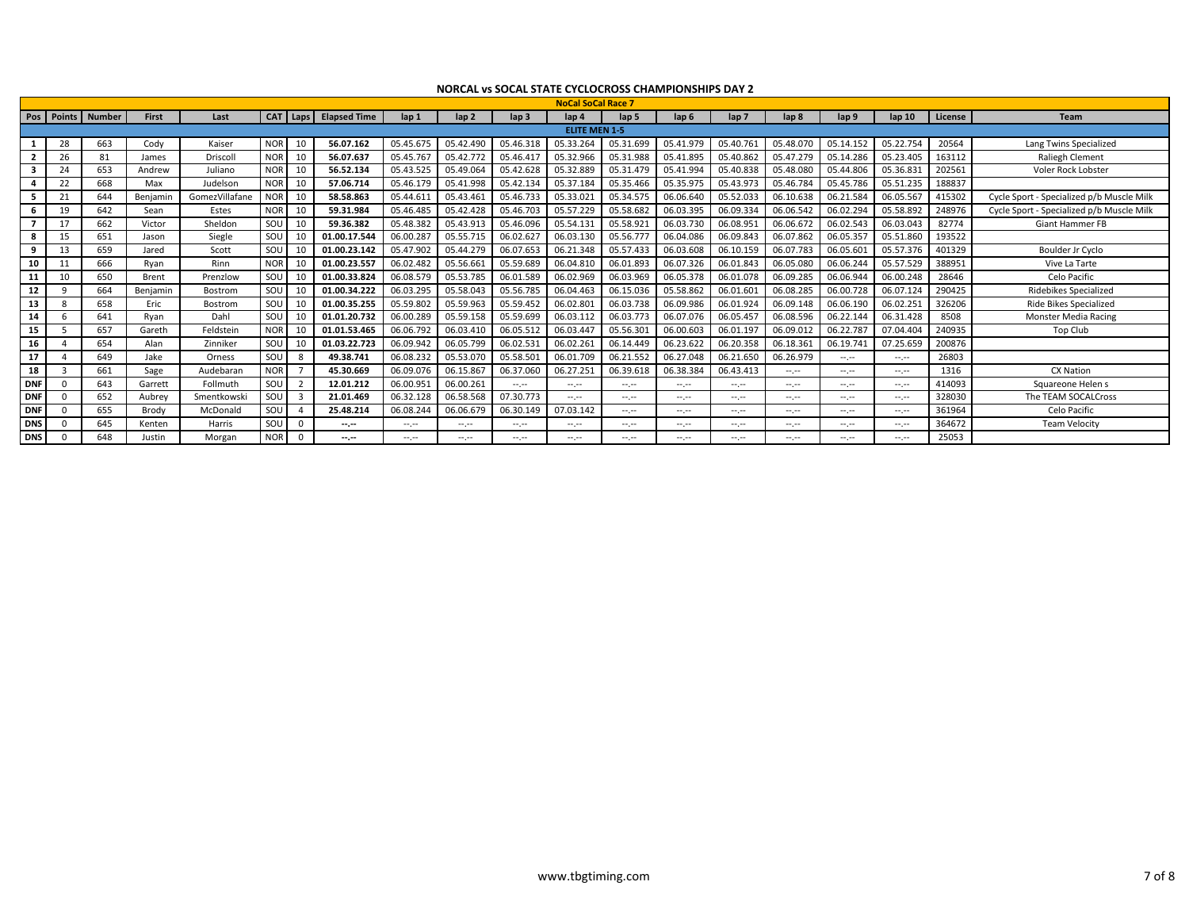|                         |          |                       |              |                |            |                 |                     |                  |                  |                  | <b>NoCal SoCal Race 7</b> |                                                                                                                                                                                                                                                                                                                                                                                                                                                                            |                  |                  |                  |                                                        |                   |         |                                           |
|-------------------------|----------|-----------------------|--------------|----------------|------------|-----------------|---------------------|------------------|------------------|------------------|---------------------------|----------------------------------------------------------------------------------------------------------------------------------------------------------------------------------------------------------------------------------------------------------------------------------------------------------------------------------------------------------------------------------------------------------------------------------------------------------------------------|------------------|------------------|------------------|--------------------------------------------------------|-------------------|---------|-------------------------------------------|
|                         |          | Pos   Points   Number | <b>First</b> | Last           | <b>CAT</b> | Laps            | <b>Elapsed Time</b> | $\mathsf{lap} 1$ | $\mathsf{lap} 2$ | lap <sub>3</sub> | $\ln 4$                   | lap <sub>5</sub>                                                                                                                                                                                                                                                                                                                                                                                                                                                           | lap <sub>6</sub> | lap <sub>7</sub> | lap <sub>8</sub> | lap 9                                                  | $\mathsf{lap} 10$ | License | <b>Team</b>                               |
|                         |          |                       |              |                |            |                 |                     |                  |                  |                  | <b>ELITE MEN 1-5</b>      |                                                                                                                                                                                                                                                                                                                                                                                                                                                                            |                  |                  |                  |                                                        |                   |         |                                           |
|                         | 28       | 663                   | Cody         | Kaiser         | <b>NOR</b> | 10              | 56.07.162           | 05.45.675        | 05.42.490        | 05.46.318        | 05.33.264                 | 05.31.699                                                                                                                                                                                                                                                                                                                                                                                                                                                                  | 05.41.979        | 05.40.761        | 05.48.070        | 05.14.152                                              | 05.22.754         | 20564   | Lang Twins Specialized                    |
| $\overline{\mathbf{2}}$ | 26       | 81                    | James        | Driscoll       | <b>NOR</b> | 10              | 56.07.637           | 05.45.767        | 05.42.772        | 05.46.417        | 05.32.966                 | 05.31.988                                                                                                                                                                                                                                                                                                                                                                                                                                                                  | 05.41.895        | 05.40.862        | 05.47.279        | 05.14.286                                              | 05.23.405         | 163112  | <b>Raliegh Clement</b>                    |
| 3                       | 24       | 653                   | Andrew       | Juliano        | <b>NOR</b> | 10              | 56.52.134           | 05.43.525        | 05.49.064        | 05.42.628        | 05.32.889                 | 05.31.479                                                                                                                                                                                                                                                                                                                                                                                                                                                                  | 05.41.994        | 05.40.838        | 05.48.080        | 05.44.806                                              | 05.36.831         | 202561  | Voler Rock Lobster                        |
|                         | 22       | 668                   | Max          | Judelson       | <b>NOR</b> | 10              | 57.06.714           | 05.46.179        | 05.41.998        | 05.42.134        | 05.37.184                 | 05.35.466                                                                                                                                                                                                                                                                                                                                                                                                                                                                  | 05.35.975        | 05.43.973        | 05.46.784        | 05.45.786                                              | 05.51.235         | 188837  |                                           |
| 5                       | 21       | 644                   | Beniamin     | GomezVillafane | <b>NOR</b> | 10 <sup>1</sup> | 58.58.863           | 05.44.611        | 05.43.461        | 05.46.733        | 05.33.02                  | 05.34.575                                                                                                                                                                                                                                                                                                                                                                                                                                                                  | 06.06.640        | 05.52.033        | 06.10.638        | 06.21.584                                              | 06.05.567         | 415302  | Cycle Sport - Specialized p/b Muscle Milk |
| 6                       | 19       | 642                   | Sean         | Estes          | <b>NOR</b> | 10              | 59.31.984           | 05.46.485        | 05.42.428        | 05.46.703        | 05.57.229                 | 05.58.682                                                                                                                                                                                                                                                                                                                                                                                                                                                                  | 06.03.395        | 06.09.334        | 06.06.542        | 06.02.294                                              | 05.58.892         | 248976  | Cycle Sport - Specialized p/b Muscle Milk |
|                         | 17       | 662                   | Victor       | Sheldon        | SOU        | 10              | 59.36.382           | 05.48.382        | 05.43.913        | 05.46.096        | 05.54.13                  | 05.58.921                                                                                                                                                                                                                                                                                                                                                                                                                                                                  | 06.03.730        | 06.08.951        | 06.06.672        | 06.02.543                                              | 06.03.043         | 82774   | <b>Giant Hammer FB</b>                    |
| -8                      | 15       | 651                   | Jason        | Siegle         | SOU        | 10              | 01.00.17.544        | 06.00.287        | 05.55.715        | 06.02.627        | 06.03.13                  | 05.56.777                                                                                                                                                                                                                                                                                                                                                                                                                                                                  | 06.04.086        | 06.09.843        | 06.07.862        | 06.05.357                                              | 05.51.860         | 193522  |                                           |
| q                       | 13       | 659                   | Jared        | Scott          | SOU        | 10              | 01.00.23.142        | 05.47.902        | 05.44.279        | 06.07.653        | 06.21.348                 | 05.57.433                                                                                                                                                                                                                                                                                                                                                                                                                                                                  | 06.03.608        | 06.10.159        | 06.07.783        | 06.05.601                                              | 05.57.376         | 401329  | Boulder Jr Cyclo                          |
| 10                      |          | 666                   | Ryan         | Rinn           | <b>NOR</b> | 10              | 01.00.23.557        | 06.02.482        | 05.56.661        | 05.59.689        | 06.04.810                 | 06.01.893                                                                                                                                                                                                                                                                                                                                                                                                                                                                  | 06.07.326        | 06.01.843        | 06.05.080        | 06.06.244                                              | 05.57.529         | 388951  | Vive La Tarte                             |
| 11                      |          | 650                   | Brent        | Prenzlow       | SOU        | 10              | 01.00.33.824        | 06.08.579        | 05.53.785        | 06.01.589        | 06.02.969                 | 06.03.969                                                                                                                                                                                                                                                                                                                                                                                                                                                                  | 06.05.378        | 06.01.078        | 06.09.285        | 06.06.944                                              | 06.00.248         | 28646   | Celo Pacific                              |
| 12                      | $\Omega$ | 664                   | Benjamin     | Bostrom        | SOU        | 10              | 01.00.34.222        | 06.03.295        | 05.58.043        | 05.56.785        | 06.04.463                 | 06.15.036                                                                                                                                                                                                                                                                                                                                                                                                                                                                  | 05.58.862        | 06.01.601        | 06.08.285        | 06.00.728                                              | 06.07.124         | 290425  | Ridebikes Specialized                     |
| 13                      |          | 658                   | Eric         | Bostrom        | SOU        | 10              | 01.00.35.255        | 05.59.802        | 05.59.963        | 05.59.452        | 06.02.801                 | 06.03.738                                                                                                                                                                                                                                                                                                                                                                                                                                                                  | 06.09.986        | 06.01.924        | 06.09.148        | 06.06.190                                              | 06.02.251         | 326206  | Ride Bikes Specialized                    |
| 14                      |          | 641                   | Ryan         | Dahl           | SOU        | 10              | 01.01.20.732        | 06.00.289        | 05.59.158        | 05.59.699        | 06.03.112                 | 06.03.773                                                                                                                                                                                                                                                                                                                                                                                                                                                                  | 06.07.076        | 06.05.457        | 06.08.596        | 06.22.144                                              | 06.31.428         | 8508    | Monster Media Racing                      |
| 15                      |          | 657                   | Gareth       | Feldstein      | <b>NOR</b> | 10              | 01.01.53.465        | 06.06.792        | 06.03.410        | 06.05.512        | 06.03.44                  | 05.56.301                                                                                                                                                                                                                                                                                                                                                                                                                                                                  | 06.00.603        | 06.01.197        | 06.09.012        | 06.22.787                                              | 07.04.404         | 240935  | <b>Top Club</b>                           |
| 16                      |          | 654                   | Alan         | Zinniker       | SOU        | 10              | 01.03.22.723        | 06.09.942        | 06.05.799        | 06.02.531        | 06.02.26                  | 06.14.449                                                                                                                                                                                                                                                                                                                                                                                                                                                                  | 06.23.622        | 06.20.358        | 06.18.361        | 06.19.741                                              | 07.25.659         | 200876  |                                           |
| 17                      |          | 649                   | Jake         | Orness         | SOU        | 8               | 49.38.741           | 06.08.232        | 05.53.070        | 05.58.501        | 06.01.709                 | 06.21.552                                                                                                                                                                                                                                                                                                                                                                                                                                                                  | 06.27.048        | 06.21.650        | 06.26.979        | $\mathcal{L}^{\mathcal{L}}(\mathcal{L}^{\mathcal{L}})$ | $-1$              | 26803   |                                           |
| 18                      |          | 661                   | Sage         | Audebaran      | <b>NOR</b> |                 | 45.30.669           | 06.09.076        | 06.15.867        | 06.37.060        | 06.27.25                  | 06.39.618                                                                                                                                                                                                                                                                                                                                                                                                                                                                  | 06.38.384        | 06.43.413        | $-1.1$           | $-1$                                                   | $-1$              | 1316    | <b>CX Nation</b>                          |
| <b>DNF</b>              |          | 643                   | Garrett      | Follmuth       | SOU        |                 | 12.01.212           | 06.00.951        | 06.00.261        | --.-             | --.-                      | $-1.1$                                                                                                                                                                                                                                                                                                                                                                                                                                                                     | $-1$             | $-1$             | $-1$             | $-1.1$                                                 | $-1$              | 414093  | Squareone Helen s                         |
| <b>DNF</b>              |          | 652                   | Aubrey       | Smentkowski    | SOU        | 3               | 21.01.469           | 06.32.128        | 06.58.568        | 07.30.773        | --.-                      | $-1$                                                                                                                                                                                                                                                                                                                                                                                                                                                                       | $-1$             | --.--            | $-1$             | $-1.1$                                                 | $-1.1$            | 328030  | The TEAM SOCALCross                       |
| <b>DNF</b>              |          | 655                   | Brody        | McDonald       | SOU        | $\Delta$        | 25.48.214           | 06.08.244        | 06.06.679        | 06.30.149        | 07.03.142                 | $\frac{1}{2} \left( \frac{1}{2} \right) \frac{1}{2} \left( \frac{1}{2} \right) \frac{1}{2} \left( \frac{1}{2} \right) \frac{1}{2} \left( \frac{1}{2} \right) \frac{1}{2} \left( \frac{1}{2} \right) \frac{1}{2} \left( \frac{1}{2} \right) \frac{1}{2} \left( \frac{1}{2} \right) \frac{1}{2} \left( \frac{1}{2} \right) \frac{1}{2} \left( \frac{1}{2} \right) \frac{1}{2} \left( \frac{1}{2} \right) \frac{1}{2} \left( \frac{1}{2} \right)$                             | $-1$             | $-1$             | $-1$             | $-1.1$                                                 | $-1$              | 361964  | Celo Pacific                              |
| <b>DNS</b>              |          | 645                   | Kenten       | Harris         | SOU        | $\Omega$        | $-1$                | $-1.1 - 1.0$     | $-1.1 - 1.0$     | --.--            | --.-                      | $-1.1$                                                                                                                                                                                                                                                                                                                                                                                                                                                                     | $-1.1 - 1.0$     | --.--            | $-1.1$           | $-1.1$                                                 | $-1$              | 364672  | <b>Team Velocity</b>                      |
| <b>DNS</b>              |          | 648                   | Justin       | Morgan         | <b>NOR</b> |                 | $-1$                | المعرضة          | angan            | --.-             | --.-                      | $\frac{1}{2} \left( \frac{1}{2} \right) \left( \frac{1}{2} \right) \left( \frac{1}{2} \right) \left( \frac{1}{2} \right) \left( \frac{1}{2} \right) \left( \frac{1}{2} \right) \left( \frac{1}{2} \right) \left( \frac{1}{2} \right) \left( \frac{1}{2} \right) \left( \frac{1}{2} \right) \left( \frac{1}{2} \right) \left( \frac{1}{2} \right) \left( \frac{1}{2} \right) \left( \frac{1}{2} \right) \left( \frac{1}{2} \right) \left( \frac{1}{2} \right) \left( \frac$ | --.--            | --.--            | $-1.1$           | angan                                                  | --.--             | 25053   |                                           |